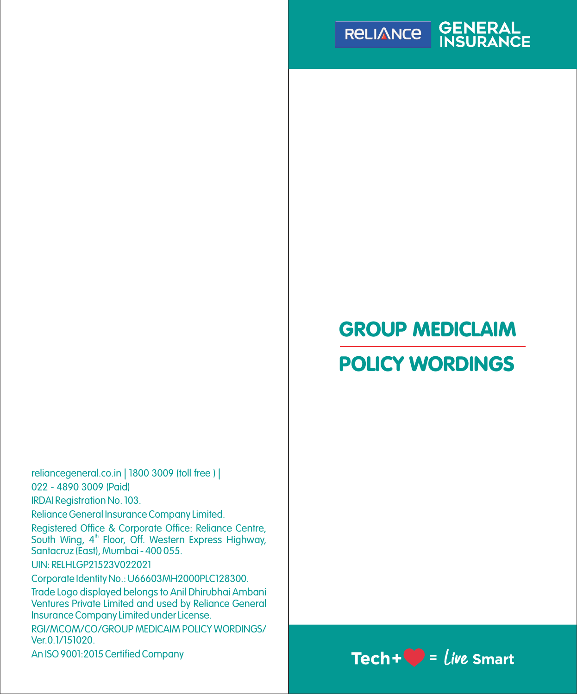

# GROUP MEDICLAIM

# POLICY WORDINGS

UIN: RELHLGP21523V022021 Trade Logo displayed belongs to Anil Dhirubhai Ambani Ventures Private Limited and used by Reliance General Insurance Company Limited under License. Registered Office & Corporate Office: Reliance Centre, South Wing, 4<sup>th</sup> Floor, Off. Western Express Highway, Santacruz (East), Mumbai - 400 055. reliancegeneral.co.in | 1800 3009 (toll free ) | Reliance General Insurance Company Limited. 022 - 4890 3009 (Paid) IRDAI Registration No. 103. Corporate Identity No.: U66603MH2000PLC128300. RGI/MCOM/CO/GROUP MEDICAIM POLICY WORDINGS/ Ver.0.1/151020.

# An ISO 9001:2015 Certified Company  $\text{Tech} + \text{C}$  =  $\text{live}$  Smart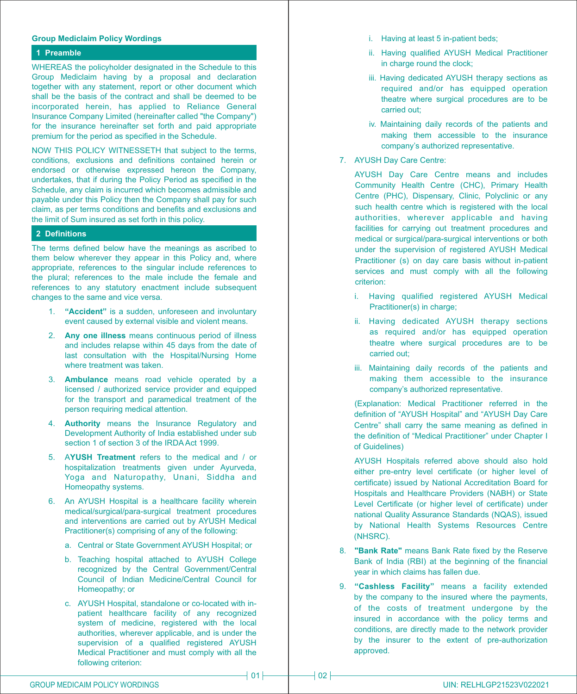#### **Group Mediclaim Policy Wordings**

### **1 Preamble**

WHEREAS the policyholder designated in the Schedule to this Group Mediclaim having by a proposal and declaration together with any statement, report or other document which shall be the basis of the contract and shall be deemed to be incorporated herein, has applied to Reliance General Insurance Company Limited (hereinafter called "the Company") for the insurance hereinafter set forth and paid appropriate premium for the period as specified in the Schedule.

NOW THIS POLICY WITNESSETH that subject to the terms, conditions, exclusions and definitions contained herein or endorsed or otherwise expressed hereon the Company, undertakes, that if during the Policy Period as specified in the Schedule, any claim is incurred which becomes admissible and payable under this Policy then the Company shall pay for such claim, as per terms conditions and benefits and exclusions and the limit of Sum insured as set forth in this policy.

#### **2 Definitions**

The terms defined below have the meanings as ascribed to them below wherever they appear in this Policy and, where appropriate, references to the singular include references to the plural; references to the male include the female and references to any statutory enactment include subsequent changes to the same and vice versa.

- 1. **"Accident"** is a sudden, unforeseen and involuntary event caused by external visible and violent means.
- 2. **Any one illness** means continuous period of illness and includes relapse within 45 days from the date of last consultation with the Hospital/Nursing Home where treatment was taken.
- 3. **Ambulance** means road vehicle operated by a licensed / authorized service provider and equipped for the transport and paramedical treatment of the person requiring medical attention.
- 4. **Authority** means the Insurance Regulatory and Development Authority of India established under sub section 1 of section 3 of the IRDA Act 1999.
- 5. A**YUSH Treatment** refers to the medical and / or hospitalization treatments given under Ayurveda, Yoga and Naturopathy, Unani, Siddha and Homeopathy systems.
- 6. An AYUSH Hospital is a healthcare facility wherein medical/surgical/para-surgical treatment procedures and interventions are carried out by AYUSH Medical Practitioner(s) comprising of any of the following:
	- a. Central or State Government AYUSH Hospital; or
	- b. Teaching hospital attached to AYUSH College recognized by the Central Government/Central Council of Indian Medicine/Central Council for Homeopathy; or
	- c. AYUSH Hospital, standalone or co-located with inpatient healthcare facility of any recognized system of medicine, registered with the local authorities, wherever applicable, and is under the supervision of a qualified registered AYUSH Medical Practitioner and must comply with all the following criterion:
- i. Having at least 5 in-patient beds;
- ii. Having qualified AYUSH Medical Practitioner in charge round the clock:
- iii. Having dedicated AYUSH therapy sections as required and/or has equipped operation theatre where surgical procedures are to be carried out;
- iv. Maintaining daily records of the patients and making them accessible to the insurance company's authorized representative.
- 7. AYUSH Day Care Centre:

AYUSH Day Care Centre means and includes Community Health Centre (CHC), Primary Health Centre (PHC), Dispensary, Clinic, Polyclinic or any such health centre which is registered with the local authorities, wherever applicable and having facilities for carrying out treatment procedures and medical or surgical/para-surgical interventions or both under the supervision of registered AYUSH Medical Practitioner (s) on day care basis without in-patient services and must comply with all the following criterion:

- i. Having qualified registered AYUSH Medical Practitioner(s) in charge;
- ii. Having dedicated AYUSH therapy sections as required and/or has equipped operation theatre where surgical procedures are to be carried out;
- iii. Maintaining daily records of the patients and making them accessible to the insurance company's authorized representative.

(Explanation: Medical Practitioner referred in the definition of "AYUSH Hospital" and "AYUSH Day Care Centre" shall carry the same meaning as defined in the definition of "Medical Practitioner" under Chapter I of Guidelines)

AYUSH Hospitals referred above should also hold either pre-entry level certificate (or higher level of certificate) issued by National Accreditation Board for Hospitals and Healthcare Providers (NABH) or State Level Certificate (or higher level of certificate) under national Quality Assurance Standards (NQAS), issued by National Health Systems Resources Centre (NHSRC).

- 8. **"Bank Rate"** means Bank Rate fixed by the Reserve Bank of India (RBI) at the beginning of the financial year in which claims has fallen due.
- 9. **"Cashless Facility"** means a facility extended by the company to the insured where the payments, of the costs of treatment undergone by the insured in accordance with the policy terms and conditions, are directly made to the network provider by the insurer to the extent of pre-authorization approved.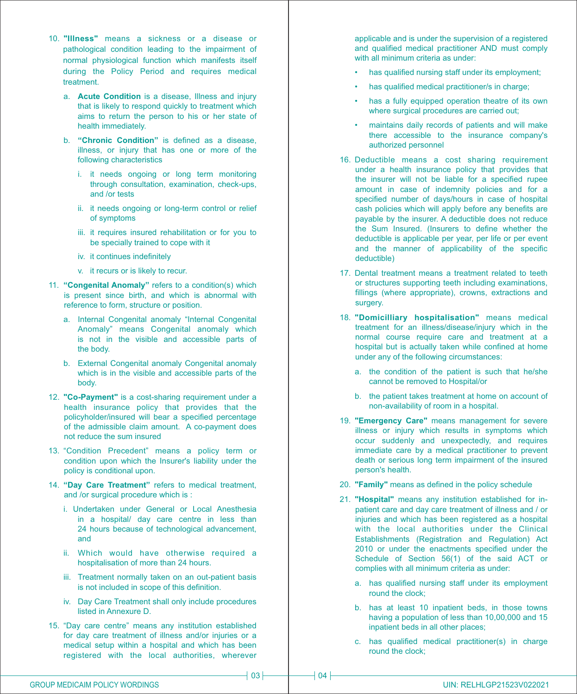- 10. **"Illness"** means a sickness or a disease or pathological condition leading to the impairment of normal physiological function which manifests itself during the Policy Period and requires medical treatment.
	- a. **Acute Condition** is a disease, Illness and injury that is likely to respond quickly to treatment which aims to return the person to his or her state of health immediately.
	- b. **"Chronic Condition"** is defined as a disease, illness, or injury that has one or more of the following characteristics
		- i. it needs ongoing or long term monitoring through consultation, examination, check-ups, and /or tests
		- ii. it needs ongoing or long-term control or relief of symptoms
		- iii. it requires insured rehabilitation or for you to be specially trained to cope with it
		- iv. it continues indefinitely
		- v. it recurs or is likely to recur.
- 11. **"Congenital Anomaly"** refers to a condition(s) which is present since birth, and which is abnormal with reference to form, structure or position.
	- a. Internal Congenital anomaly "Internal Congenital Anomaly" means Congenital anomaly which is not in the visible and accessible parts of the body.
	- b. External Congenital anomaly Congenital anomaly which is in the visible and accessible parts of the body.
- 12. **"Co-Payment"** is a cost-sharing requirement under a health insurance policy that provides that the policyholder/insured will bear a specified percentage of the admissible claim amount. A co-payment does not reduce the sum insured
- 13. "Condition Precedent" means a policy term or condition upon which the Insurer's liability under the policy is conditional upon.
- 14. **"Day Care Treatment"** refers to medical treatment, and /or surgical procedure which is :
	- i. Undertaken under General or Local Anesthesia in a hospital/ day care centre in less than 24 hours because of technological advancement, and
	- ii. Which would have otherwise required a hospitalisation of more than 24 hours.
	- iii. Treatment normally taken on an out-patient basis is not included in scope of this definition.
	- iv. Day Care Treatment shall only include procedures listed in Annexure D.
- 15. "Day care centre" means any institution established for day care treatment of illness and/or injuries or a medical setup within a hospital and which has been registered with the local authorities, wherever

applicable and is under the supervision of a registered and qualified medical practitioner AND must comply with all minimum criteria as under:

- has qualified nursing staff under its employment;
- has qualified medical practitioner/s in charge:
- has a fully equipped operation theatre of its own where surgical procedures are carried out;
- maintains daily records of patients and will make there accessible to the insurance company's authorized personnel
- 16. Deductible means a cost sharing requirement under a health insurance policy that provides that the insurer will not be liable for a specified rupee amount in case of indemnity policies and for a specified number of days/hours in case of hospital cash policies which will apply before any benefits are payable by the insurer. A deductible does not reduce the Sum Insured. (Insurers to define whether the deductible is applicable per year, per life or per event and the manner of applicability of the specific deductible)
- 17. Dental treatment means a treatment related to teeth or structures supporting teeth including examinations, fillings (where appropriate), crowns, extractions and surgery.
- 18. **"Domicilliary hospitalisation"** means medical treatment for an illness/disease/injury which in the normal course require care and treatment at a hospital but is actually taken while confined at home under any of the following circumstances:
	- a. the condition of the patient is such that he/she cannot be removed to Hospital/or
	- b. the patient takes treatment at home on account of non-availability of room in a hospital.
- 19. **"Emergency Care"** means management for severe illness or injury which results in symptoms which occur suddenly and unexpectedly, and requires immediate care by a medical practitioner to prevent death or serious long term impairment of the insured person's health.
- 20. **"Family"** means as defined in the policy schedule
- 21. **"Hospital"** means any institution established for inpatient care and day care treatment of illness and / or injuries and which has been registered as a hospital with the local authorities under the Clinical Establishments (Registration and Regulation) Act 2010 or under the enactments specified under the Schedule of Section 56(1) of the said ACT or complies with all minimum criteria as under:
	- a. has qualified nursing staff under its employment round the clock;
	- b. has at least 10 inpatient beds, in those towns having a population of less than 10,00,000 and 15 inpatient beds in all other places;
	- c. has qualified medical practitioner(s) in charge round the clock;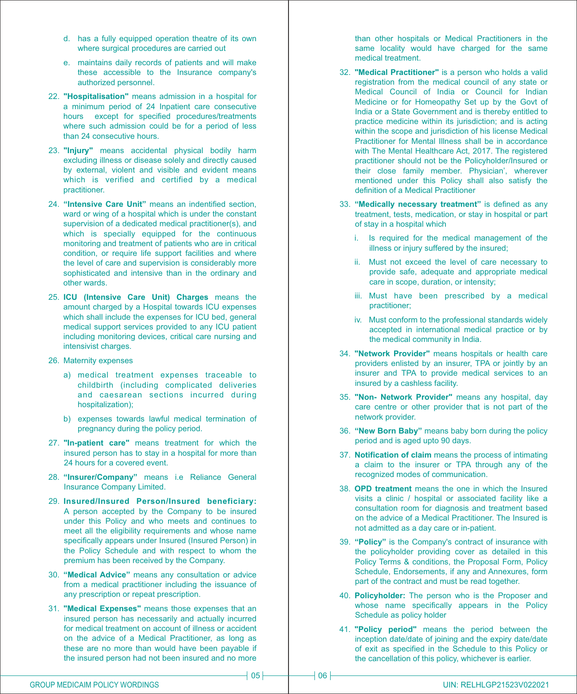- d. has a fully equipped operation theatre of its own where surgical procedures are carried out
- e. maintains daily records of patients and will make these accessible to the Insurance company's authorized personnel.
- 22. **"Hospitalisation"** means admission in a hospital for a minimum period of 24 Inpatient care consecutive hours except for specified procedures/treatments where such admission could be for a period of less than 24 consecutive hours.
- 23. **"Injury"** means accidental physical bodily harm excluding illness or disease solely and directly caused by external, violent and visible and evident means which is verified and certified by a medical practitioner.
- 24. **"Intensive Care Unit"** means an indentified section, ward or wing of a hospital which is under the constant supervision of a dedicated medical practitioner(s), and which is specially equipped for the continuous monitoring and treatment of patients who are in critical condition, or require life support facilities and where the level of care and supervision is considerably more sophisticated and intensive than in the ordinary and other wards.
- 25. **ICU (Intensive Care Unit) Charges** means the amount charged by a Hospital towards ICU expenses which shall include the expenses for ICU bed, general medical support services provided to any ICU patient including monitoring devices, critical care nursing and intensivist charges.
- 26. Maternity expenses
	- a) medical treatment expenses traceable to childbirth (including complicated deliveries and caesarean sections incurred during hospitalization);
	- b) expenses towards lawful medical termination of pregnancy during the policy period.
- 27. **"In-patient care"** means treatment for which the insured person has to stay in a hospital for more than 24 hours for a covered event.
- 28. **"Insurer/Company"** means i.e Reliance General Insurance Company Limited.
- 29. **Insured/Insured Person/Insured beneficiary:** A person accepted by the Company to be insured under this Policy and who meets and continues to meet all the eligibility requirements and whose name specifically appears under Insured (Insured Person) in the Policy Schedule and with respect to whom the premium has been received by the Company.
- 30. **"Medical Advice"** means any consultation or advice from a medical practitioner including the issuance of any prescription or repeat prescription.
- 31. **"Medical Expenses"** means those expenses that an insured person has necessarily and actually incurred for medical treatment on account of illness or accident on the advice of a Medical Practitioner, as long as these are no more than would have been payable if the insured person had not been insured and no more

than other hospitals or Medical Practitioners in the same locality would have charged for the same medical treatment.

- 32. **"Medical Practitioner"** is a person who holds a valid registration from the medical council of any state or Medical Council of India or Council for Indian Medicine or for Homeopathy Set up by the Govt of India or a State Government and is thereby entitled to practice medicine within its jurisdiction; and is acting within the scope and jurisdiction of his license Medical Practitioner for Mental Illness shall be in accordance with The Mental Healthcare Act, 2017. The registered practitioner should not be the Policyholder/Insured or their close family member. Physician', wherever mentioned under this Policy shall also satisfy the definition of a Medical Practitioner
- 33. **"Medically necessary treatment"** is defined as any treatment, tests, medication, or stay in hospital or part of stay in a hospital which
	- i. Is required for the medical management of the illness or injury suffered by the insured;
	- ii. Must not exceed the level of care necessary to provide safe, adequate and appropriate medical care in scope, duration, or intensity;
	- iii. Must have been prescribed by a medical practitioner;
	- iv. Must conform to the professional standards widely accepted in international medical practice or by the medical community in India.
- 34. **"Network Provider"** means hospitals or health care providers enlisted by an insurer, TPA or jointly by an insurer and TPA to provide medical services to an insured by a cashless facility.
- 35. **"Non- Network Provider"** means any hospital, day care centre or other provider that is not part of the network provider.
- 36. **"New Born Baby"** means baby born during the policy period and is aged upto 90 days.
- 37. **Notification of claim** means the process of intimating a claim to the insurer or TPA through any of the recognized modes of communication.
- 38. **OPD treatment** means the one in which the Insured visits a clinic / hospital or associated facility like a consultation room for diagnosis and treatment based on the advice of a Medical Practitioner. The Insured is not admitted as a day care or in-patient.
- 39. **"Policy"** is the Company's contract of insurance with the policyholder providing cover as detailed in this Policy Terms & conditions, the Proposal Form, Policy Schedule, Endorsements, if any and Annexures, form part of the contract and must be read together.
- 40. **Policyholder:** The person who is the Proposer and whose name specifically appears in the Policy Schedule as policy holder
- 41. **"Policy period"** means the period between the inception date/date of joining and the expiry date/date of exit as specified in the Schedule to this Policy or the cancellation of this policy, whichever is earlier.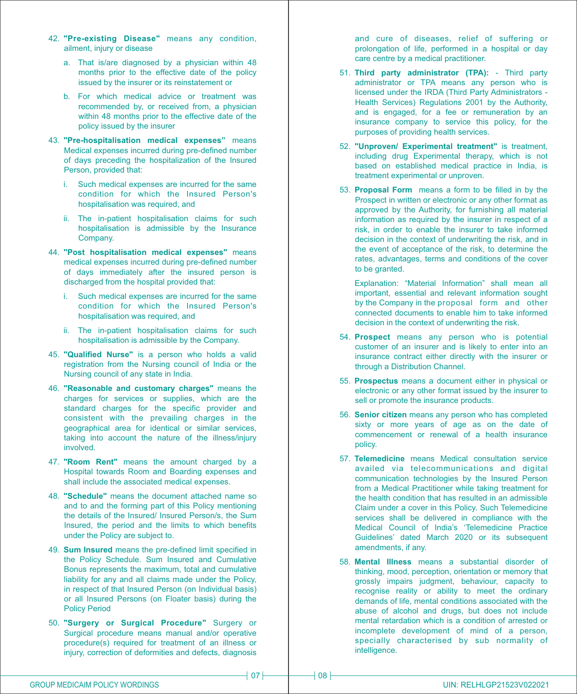- 42. **"Pre-existing Disease"** means any condition, ailment, injury or disease
	- a. That is/are diagnosed by a physician within 48 months prior to the effective date of the policy issued by the insurer or its reinstatement or
	- b. For which medical advice or treatment was recommended by, or received from, a physician within 48 months prior to the effective date of the policy issued by the insurer
- 43. **"Pre-hospitalisation medical expenses"** means Medical expenses incurred during pre-defined number of days preceding the hospitalization of the Insured Person, provided that:
	- i. Such medical expenses are incurred for the same condition for which the Insured Person's hospitalisation was required, and
	- ii. The in-patient hospitalisation claims for such hospitalisation is admissible by the Insurance Company.
- 44. **"Post hospitalisation medical expenses"** means medical expenses incurred during pre-defined number of days immediately after the insured person is discharged from the hospital provided that:
	- i. Such medical expenses are incurred for the same condition for which the Insured Person's hospitalisation was required, and
	- ii. The in-patient hospitalisation claims for such hospitalisation is admissible by the Company.
- 45. **"Qualified Nurse"** is a person who holds a valid registration from the Nursing council of India or the Nursing council of any state in India.
- 46. **"Reasonable and customary charges"** means the charges for services or supplies, which are the standard charges for the specific provider and consistent with the prevailing charges in the geographical area for identical or similar services, taking into account the nature of the illness/injury involved.
- 47. **"Room Rent"** means the amount charged by a Hospital towards Room and Boarding expenses and shall include the associated medical expenses.
- 48. **"Schedule"** means the document attached name so and to and the forming part of this Policy mentioning the details of the Insured/ Insured Person/s, the Sum Insured, the period and the limits to which benefits under the Policy are subject to.
- 49. **Sum Insured** means the pre-defined limit specified in the Policy Schedule. Sum Insured and Cumulative Bonus represents the maximum, total and cumulative liability for any and all claims made under the Policy, in respect of that Insured Person (on Individual basis) or all Insured Persons (on Floater basis) during the Policy Period
- 50. **"Surgery or Surgical Procedure"** Surgery or Surgical procedure means manual and/or operative procedure(s) required for treatment of an illness or injury, correction of deformities and defects, diagnosis

and cure of diseases, relief of suffering or prolongation of life, performed in a hospital or day care centre by a medical practitioner.

- 51. **Third party administrator (TPA):** Third party administrator or TPA means any person who is licensed under the IRDA (Third Party Administrators - Health Services) Regulations 2001 by the Authority, and is engaged, for a fee or remuneration by an insurance company to service this policy, for the purposes of providing health services.
- 52. **"Unproven/ Experimental treatment"** is treatment, including drug Experimental therapy, which is not based on established medical practice in India, is treatment experimental or unproven.
- 53. **Proposal Form** means a form to be filled in by the Prospect in written or electronic or any other format as approved by the Authority, for furnishing all material information as required by the insurer in respect of a risk, in order to enable the insurer to take informed decision in the context of underwriting the risk, and in the event of acceptance of the risk, to determine the rates, advantages, terms and conditions of the cover to be granted.

Explanation: "Material Information" shall mean all important, essential and relevant information sought by the Company in the proposal form and other connected documents to enable him to take informed decision in the context of underwriting the risk.

- 54. **Prospect** means any person who is potential customer of an insurer and is likely to enter into an insurance contract either directly with the insurer or through a Distribution Channel.
- 55. **Prospectus** means a document either in physical or electronic or any other format issued by the insurer to sell or promote the insurance products.
- 56. **Senior citizen** means any person who has completed sixty or more years of age as on the date of commencement or renewal of a health insurance policy.
- 57. **Telemedicine** means Medical consultation service availed via telecommunications and digital communication technologies by the Insured Person from a Medical Practitioner while taking treatment for the health condition that has resulted in an admissible Claim under a cover in this Policy. Such Telemedicine services shall be delivered in compliance with the Medical Council of India's 'Telemedicine Practice Guidelines' dated March 2020 or its subsequent amendments, if any.
- 58. **Mental Illness** means a substantial disorder of thinking, mood, perception, orientation or memory that grossly impairs judgment, behaviour, capacity to recognise reality or ability to meet the ordinary demands of life, mental conditions associated with the abuse of alcohol and drugs, but does not include mental retardation which is a condition of arrested or incomplete development of mind of a person, specially characterised by sub normality of intelligence.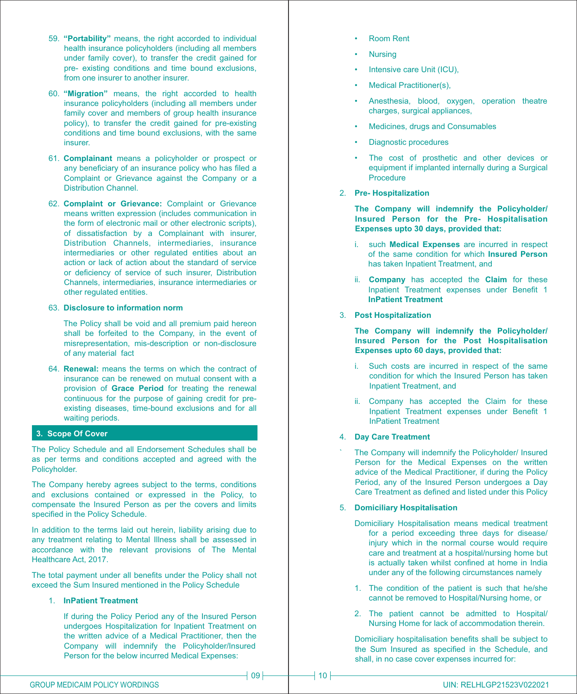- 59. **"Portability"** means, the right accorded to individual health insurance policyholders (including all members under family cover), to transfer the credit gained for pre- existing conditions and time bound exclusions, from one insurer to another insurer.
- 60. **"Migration"** means, the right accorded to health insurance policyholders (including all members under family cover and members of group health insurance policy), to transfer the credit gained for pre-existing conditions and time bound exclusions, with the same insurer.
- 61. **Complainant** means a policyholder or prospect or any beneficiary of an insurance policy who has filed a Complaint or Grievance against the Company or a Distribution Channel.
- 62. **Complaint or Grievance:** Complaint or Grievance means written expression (includes communication in the form of electronic mail or other electronic scripts), of dissatisfaction by a Complainant with insurer, Distribution Channels, intermediaries, insurance intermediaries or other regulated entities about an action or lack of action about the standard of service or deficiency of service of such insurer, Distribution Channels, intermediaries, insurance intermediaries or other regulated entities.

#### 63. **Disclosure to information norm**

The Policy shall be void and all premium paid hereon shall be forfeited to the Company, in the event of misrepresentation, mis-description or non-disclosure of any material fact

64. **Renewal:** means the terms on which the contract of insurance can be renewed on mutual consent with a provision of **Grace Period** for treating the renewal continuous for the purpose of gaining credit for preexisting diseases, time-bound exclusions and for all waiting periods.

# **3. Scope Of Cover**

The Policy Schedule and all Endorsement Schedules shall be as per terms and conditions accepted and agreed with the Policyholder.

The Company hereby agrees subject to the terms, conditions and exclusions contained or expressed in the Policy, to compensate the Insured Person as per the covers and limits specified in the Policy Schedule.

In addition to the terms laid out herein, liability arising due to any treatment relating to Mental Illness shall be assessed in accordance with the relevant provisions of The Mental Healthcare Act, 2017.

The total payment under all benefits under the Policy shall not exceed the Sum Insured mentioned in the Policy Schedule

#### 1. **InPatient Treatment**

If during the Policy Period any of the Insured Person undergoes Hospitalization for Inpatient Treatment on the written advice of a Medical Practitioner, then the Company will indemnify the Policyholder/Insured Person for the below incurred Medical Expenses:

- Room Rent
- Nursing
- Intensive care Unit (ICU).
- Medical Practitioner(s).
- Anesthesia, blood, oxygen, operation theatre charges, surgical appliances,
- Medicines, drugs and Consumables
- Diagnostic procedures
- The cost of prosthetic and other devices or equipment if implanted internally during a Surgical Procedure
- 2. **Pre- Hospitalization**

**The Company will indemnify the Policyholder/ Insured Person for the Pre- Hospitalisation Expenses upto 30 days, provided that:**

- i. such **Medical Expenses** are incurred in respect of the same condition for which **Insured Person** has taken Inpatient Treatment, and
- ii. **Company** has accepted the **Claim** for these Inpatient Treatment expenses under Benefit 1 **InPatient Treatment**
- 3. **Post Hospitalization**

**The Company will indemnify the Policyholder/ Insured Person for the Post Hospitalisation Expenses upto 60 days, provided that:**

- i. Such costs are incurred in respect of the same condition for which the Insured Person has taken Inpatient Treatment, and
- ii. Company has accepted the Claim for these Inpatient Treatment expenses under Benefit 1 InPatient Treatment

#### 4. **Day Care Treatment**

The Company will indemnify the Policyholder/ Insured Person for the Medical Expenses on the written advice of the Medical Practitioner, if during the Policy Period, any of the Insured Person undergoes a Day Care Treatment as defined and listed under this Policy

#### 5. **Domiciliary Hospitalisation**

- Domiciliary Hospitalisation means medical treatment for a period exceeding three days for disease/ injury which in the normal course would require care and treatment at a hospital/nursing home but is actually taken whilst confined at home in India under any of the following circumstances namely
- 1. The condition of the patient is such that he/she cannot be removed to Hospital/Nursing home, or
- 2. The patient cannot be admitted to Hospital/ Nursing Home for lack of accommodation therein.

Domiciliary hospitalisation benefits shall be subject to the Sum Insured as specified in the Schedule, and shall, in no case cover expenses incurred for: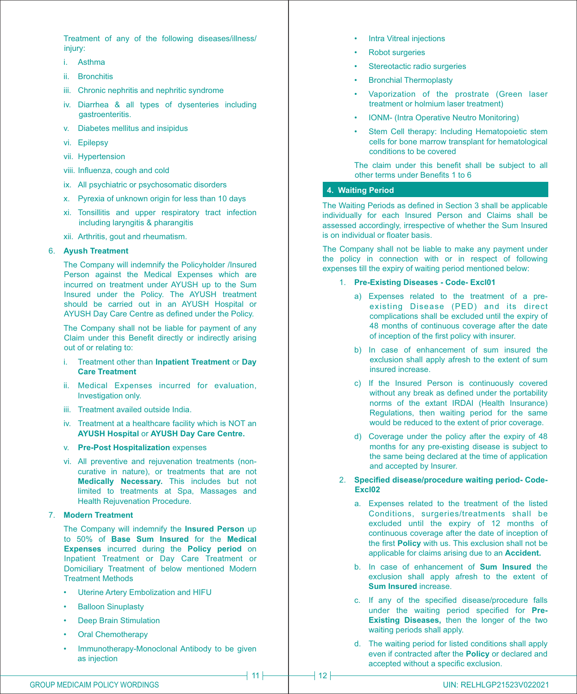Treatment of any of the following diseases/illness/ injury:

- i. Asthma
- ii. Bronchitis
- iii. Chronic nephritis and nephritic syndrome
- iv. Diarrhea & all types of dysenteries including gastroenteritis.
- v. Diabetes mellitus and insipidus
- vi. Epilepsy
- vii. Hypertension
- viii. Influenza, cough and cold
- ix. All psychiatric or psychosomatic disorders
- x. Pyrexia of unknown origin for less than 10 days
- xi. Tonsillitis and upper respiratory tract infection including laryngitis & pharangitis
- xii. Arthritis, gout and rheumatism.

#### 6. **Ayush Treatment**

The Company will indemnify the Policyholder /Insured Person against the Medical Expenses which are incurred on treatment under AYUSH up to the Sum Insured under the Policy. The AYUSH treatment should be carried out in an AYUSH Hospital or AYUSH Day Care Centre as defined under the Policy.

The Company shall not be liable for payment of any Claim under this Benefit directly or indirectly arising out of or relating to:

- i. Treatment other than **Inpatient Treatment** or **Day Care Treatment**
- ii. Medical Expenses incurred for evaluation, Investigation only.
- iii. Treatment availed outside India.
- iv. Treatment at a healthcare facility which is NOT an **AYUSH Hospital** or **AYUSH Day Care Centre.**
- v. **Pre-Post Hospitalization** expenses
- vi. All preventive and rejuvenation treatments (noncurative in nature), or treatments that are not **Medically Necessary.** This includes but not limited to treatments at Spa, Massages and Health Rejuvenation Procedure.

# 7. **Modern Treatment**

The Company will indemnify the **Insured Person** up to 50% of **Base Sum Insured** for the **Medical Expenses** incurred during the **Policy period** on Inpatient Treatment or Day Care Treatment or Domiciliary Treatment of below mentioned Modern Treatment Methods

- Uterine Artery Embolization and HIFU
- **Balloon Sinuplasty**
- Deep Brain Stimulation
- Oral Chemotherapy
- Immunotherapy-Monoclonal Antibody to be given as injection
- **Intra Vitreal injections**
- Robot surgeries
- Stereotactic radio surgeries
- Bronchial Thermoplasty
- Vaporization of the prostrate (Green laser treatment or holmium laser treatment)
- IONM- (Intra Operative Neutro Monitoring)
- Stem Cell therapy: Including Hematopoietic stem cells for bone marrow transplant for hematological conditions to be covered

The claim under this benefit shall be subject to all other terms under Benefits 1 to 6

#### **4. Waiting Period**

The Waiting Periods as defined in Section 3 shall be applicable individually for each Insured Person and Claims shall be assessed accordingly, irrespective of whether the Sum Insured is on individual or floater basis.

The Company shall not be liable to make any payment under the policy in connection with or in respect of following expenses till the expiry of waiting period mentioned below:

- 1. **Pre-Existing Diseases Code- Excl01** 
	- a) Expenses related to the treatment of a preexisting Disease (PED) and its direct complications shall be excluded until the expiry of 48 months of continuous coverage after the date of inception of the first policy with insurer.
	- b) In case of enhancement of sum insured the exclusion shall apply afresh to the extent of sum insured increase.
	- c) If the Insured Person is continuously covered without any break as defined under the portability norms of the extant IRDAI (Health Insurance) Regulations, then waiting period for the same would be reduced to the extent of prior coverage.
	- d) Coverage under the policy after the expiry of 48 months for any pre-existing disease is subject to the same being declared at the time of application and accepted by Insurer.
- 2. **Specified disease/procedure waiting period- Code-Excl02** 
	- a. Expenses related to the treatment of the listed Conditions, surgeries/treatments shall be excluded until the expiry of 12 months of continuous coverage after the date of inception of the first **Policy** with us. This exclusion shall not be applicable for claims arising due to an **Accident.**
	- b. In case of enhancement of **Sum Insured** the exclusion shall apply afresh to the extent of **Sum Insured** increase.
	- c. If any of the specified disease/procedure falls under the waiting period specified for **Pre-Existing Diseases,** then the longer of the two waiting periods shall apply.
	- d. The waiting period for listed conditions shall apply even if contracted after the **Policy** or declared and accepted without a specific exclusion.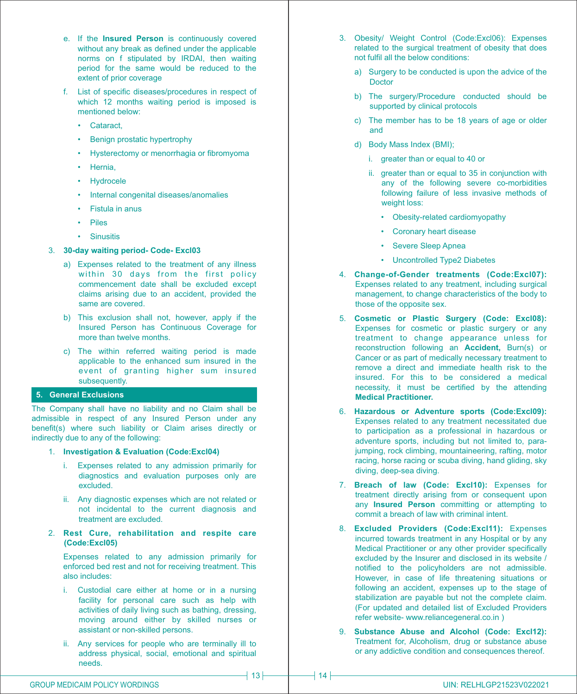- e. If the **Insured Person** is continuously covered without any break as defined under the applicable norms on f stipulated by IRDAI, then waiting period for the same would be reduced to the extent of prior coverage
- f. List of specific diseases/procedures in respect of which 12 months waiting period is imposed is mentioned below:
	- Cataract,
	- Benign prostatic hypertrophy
	- Hysterectomy or menorrhagia or fibromyoma
	- Hernia,
	- Hydrocele
	- Internal congenital diseases/anomalies
	- Fistula in anus
	- Piles
	- Sinusitis
- 3. **30-day waiting period- Code- Excl03** 
	- a) Expenses related to the treatment of any illness within 30 days from the first policy commencement date shall be excluded except claims arising due to an accident, provided the same are covered.
	- b) This exclusion shall not, however, apply if the Insured Person has Continuous Coverage for more than twelve months.
	- c) The within referred waiting period is made applicable to the enhanced sum insured in the event of granting higher sum insured subsequently.

# **5. General Exclusions**

The Company shall have no liability and no Claim shall be admissible in respect of any Insured Person under any benefit(s) where such liability or Claim arises directly or indirectly due to any of the following:

- 1. **Investigation & Evaluation (Code:Excl04)**
	- i. Expenses related to any admission primarily for diagnostics and evaluation purposes only are excluded.
	- ii. Any diagnostic expenses which are not related or not incidental to the current diagnosis and treatment are excluded.
- 2. **Rest Cure, rehabilitation and respite care (Code:Excl05)**

Expenses related to any admission primarily for enforced bed rest and not for receiving treatment. This also includes:

- i. Custodial care either at home or in a nursing facility for personal care such as help with activities of daily living such as bathing, dressing, moving around either by skilled nurses or assistant or non-skilled persons.
- ii. Any services for people who are terminally ill to address physical, social, emotional and spiritual needs.
- 3. Obesity/ Weight Control (Code:Excl06): Expenses related to the surgical treatment of obesity that does not fulfil all the below conditions:
	- a) Surgery to be conducted is upon the advice of the Doctor
	- b) The surgery/Procedure conducted should be supported by clinical protocols
	- c) The member has to be 18 years of age or older and
	- d) Body Mass Index (BMI);
		- i. greater than or equal to 40 or
		- ii. greater than or equal to 35 in conjunction with any of the following severe co-morbidities following failure of less invasive methods of weight loss:
			- Obesity-related cardiomyopathy
			- Coronary heart disease
			- Severe Sleep Apnea
			- Uncontrolled Type2 Diabetes
- 4. **Change-of-Gender treatments (Code:Excl07):** Expenses related to any treatment, including surgical management, to change characteristics of the body to those of the opposite sex.
- 5. **Cosmetic or Plastic Surgery (Code: Excl08):** Expenses for cosmetic or plastic surgery or any treatment to change appearance unless for reconstruction following an **Accident,** Burn(s) or Cancer or as part of medically necessary treatment to remove a direct and immediate health risk to the insured. For this to be considered a medical necessity, it must be certified by the attending **Medical Practitioner.**
- 6. **Hazardous or Adventure sports (Code:Excl09):** Expenses related to any treatment necessitated due to participation as a professional in hazardous or adventure sports, including but not limited to, parajumping, rock climbing, mountaineering, rafting, motor racing, horse racing or scuba diving, hand gliding, sky diving, deep-sea diving.
- 7. **Breach of law (Code: Excl10):** Expenses for treatment directly arising from or consequent upon any **Insured Person** committing or attempting to commit a breach of law with criminal intent.
- 8. **Excluded Providers (Code:Excl11):** Expenses incurred towards treatment in any Hospital or by any Medical Practitioner or any other provider specifically excluded by the Insurer and disclosed in its website / notified to the policyholders are not admissible. However, in case of life threatening situations or following an accident, expenses up to the stage of stabilization are payable but not the complete claim. (For updated and detailed list of Excluded Providers refer website- www.reliancegeneral.co.in )
- 9. **Substance Abuse and Alcohol (Code: Excl12):** Treatment for, Alcoholism, drug or substance abuse or any addictive condition and consequences thereof.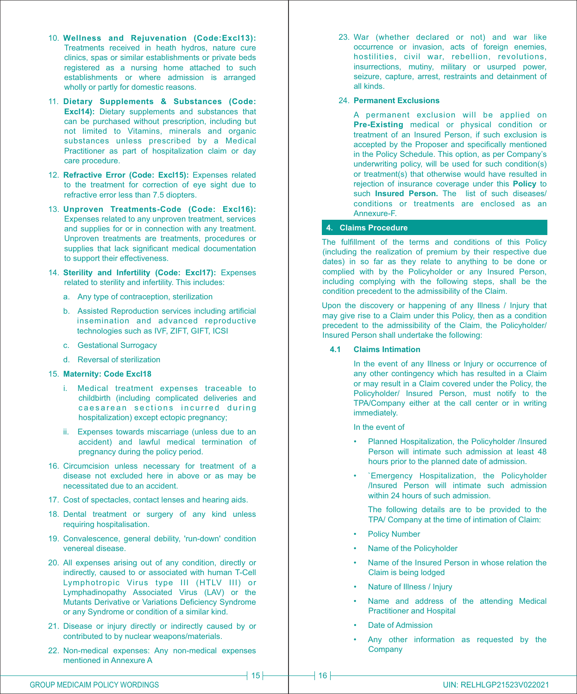- 10. **Wellness and Rejuvenation (Code:Excl13):** Treatments received in heath hydros, nature cure clinics, spas or similar establishments or private beds registered as a nursing home attached to such establishments or where admission is arranged wholly or partly for domestic reasons.
- 11. **Dietary Supplements & Substances (Code: Excl14):** Dietary supplements and substances that can be purchased without prescription, including but not limited to Vitamins, minerals and organic substances unless prescribed by a Medical Practitioner as part of hospitalization claim or day care procedure.
- 12. **Refractive Error (Code: Excl15):** Expenses related to the treatment for correction of eye sight due to refractive error less than 7.5 diopters.
- 13. **Unproven Treatments-Code (Code: Excl16):** Expenses related to any unproven treatment, services and supplies for or in connection with any treatment. Unproven treatments are treatments, procedures or supplies that lack significant medical documentation to support their effectiveness.
- 14. **Sterility and Infertility (Code: Excl17):** Expenses related to sterility and infertility. This includes:
	- a. Any type of contraception, sterilization
	- b. Assisted Reproduction services including artificial insemination and advanced reproductive technologies such as IVF, ZIFT, GIFT, ICSI
	- c. Gestational Surrogacy
	- d. Reversal of sterilization

#### 15. **Maternity: Code Excl18**

- i. Medical treatment expenses traceable to childbirth (including complicated deliveries and caesarean sections incurred during hospitalization) except ectopic pregnancy;
- ii. Expenses towards miscarriage (unless due to an accident) and lawful medical termination of pregnancy during the policy period.
- 16. Circumcision unless necessary for treatment of a disease not excluded here in above or as may be necessitated due to an accident.
- 17. Cost of spectacles, contact lenses and hearing aids.
- 18. Dental treatment or surgery of any kind unless requiring hospitalisation.
- 19. Convalescence, general debility, 'run-down' condition venereal disease.
- 20. All expenses arising out of any condition, directly or indirectly, caused to or associated with human T-Cell Lymphotropic Virus type III (HTLV III) or Lymphadinopathy Associated Virus (LAV) or the Mutants Derivative or Variations Deficiency Syndrome or any Syndrome or condition of a similar kind.
- 21. Disease or injury directly or indirectly caused by or contributed to by nuclear weapons/materials.
- 22. Non-medical expenses: Any non-medical expenses mentioned in Annexure A

23. War (whether declared or not) and war like occurrence or invasion, acts of foreign enemies, hostilities, civil war, rebellion, revolutions, insurrections, mutiny, military or usurped power, seizure, capture, arrest, restraints and detainment of all kinds.

# 24. **Permanent Exclusions**

A permanent exclusion will be applied on **Pre-Existing** medical or physical condition or treatment of an Insured Person, if such exclusion is accepted by the Proposer and specifically mentioned in the Policy Schedule. This option, as per Company's underwriting policy, will be used for such condition(s) or treatment(s) that otherwise would have resulted in rejection of insurance coverage under this **Policy** to such **Insured Person**. The list of such diseases/ conditions or treatments are enclosed as an Annexure-F.

#### **4. Claims Procedure**

The fulfillment of the terms and conditions of this Policy (including the realization of premium by their respective due dates) in so far as they relate to anything to be done or complied with by the Policyholder or any Insured Person, including complying with the following steps, shall be the condition precedent to the admissibility of the Claim.

Upon the discovery or happening of any Illness / Injury that may give rise to a Claim under this Policy, then as a condition precedent to the admissibility of the Claim, the Policyholder/ Insured Person shall undertake the following:

#### **4.1 Claims Intimation**

In the event of any Illness or Injury or occurrence of any other contingency which has resulted in a Claim or may result in a Claim covered under the Policy, the Policyholder/ Insured Person, must notify to the TPA/Company either at the call center or in writing immediately.

In the event of

- Planned Hospitalization, the Policyholder /Insured Person will intimate such admission at least 48 hours prior to the planned date of admission.
- `Emergency Hospitalization, the Policyholder /Insured Person will intimate such admission within 24 hours of such admission.

The following details are to be provided to the TPA/ Company at the time of intimation of Claim:

- **Policy Number**
- Name of the Policyholder
- Name of the Insured Person in whose relation the Claim is being lodged
- Nature of Illness / Injury
- Name and address of the attending Medical Practitioner and Hospital
- Date of Admission
- Any other information as requested by the **Company**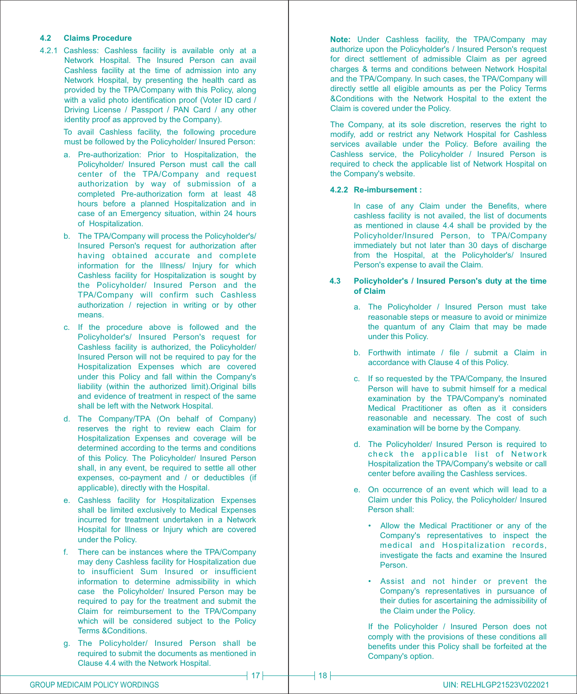## **4.2 Claims Procedure**

4.2.1 Cashless: Cashless facility is available only at a Network Hospital. The Insured Person can avail Cashless facility at the time of admission into any Network Hospital, by presenting the health card as provided by the TPA/Company with this Policy, along with a valid photo identification proof (Voter ID card / Driving License / Passport / PAN Card / any other identity proof as approved by the Company).

> To avail Cashless facility, the following procedure must be followed by the Policyholder/ Insured Person:

- a. Pre-authorization: Prior to Hospitalization, the Policyholder/ Insured Person must call the call center of the TPA/Company and request authorization by way of submission of a completed Pre-authorization form at least 48 hours before a planned Hospitalization and in case of an Emergency situation, within 24 hours of Hospitalization.
- b. The TPA/Company will process the Policyholder's/ Insured Person's request for authorization after having obtained accurate and complete information for the Illness/ Injury for which Cashless facility for Hospitalization is sought by the Policyholder/ Insured Person and the TPA/Company will confirm such Cashless authorization / rejection in writing or by other means.
- c. If the procedure above is followed and the Policyholder's/ Insured Person's request for Cashless facility is authorized, the Policyholder/ Insured Person will not be required to pay for the Hospitalization Expenses which are covered under this Policy and fall within the Company's liability (within the authorized limit).Original bills and evidence of treatment in respect of the same shall be left with the Network Hospital.
- d. The Company/TPA (On behalf of Company) reserves the right to review each Claim for Hospitalization Expenses and coverage will be determined according to the terms and conditions of this Policy. The Policyholder/ Insured Person shall, in any event, be required to settle all other expenses, co-payment and / or deductibles (if applicable), directly with the Hospital.
- e. Cashless facility for Hospitalization Expenses shall be limited exclusively to Medical Expenses incurred for treatment undertaken in a Network Hospital for Illness or Injury which are covered under the Policy.
- f. There can be instances where the TPA/Company may deny Cashless facility for Hospitalization due to insufficient Sum Insured or insufficient information to determine admissibility in which case the Policyholder/ Insured Person may be required to pay for the treatment and submit the Claim for reimbursement to the TPA/Company which will be considered subject to the Policy Terms &Conditions.
- g. The Policyholder/ Insured Person shall be required to submit the documents as mentioned in Clause 4.4 with the Network Hospital.

**Note:** Under Cashless facility, the TPA/Company may authorize upon the Policyholder's / Insured Person's request for direct settlement of admissible Claim as per agreed charges & terms and conditions between Network Hospital and the TPA/Company. In such cases, the TPA/Company will directly settle all eligible amounts as per the Policy Terms &Conditions with the Network Hospital to the extent the Claim is covered under the Policy.

The Company, at its sole discretion, reserves the right to modify, add or restrict any Network Hospital for Cashless services available under the Policy. Before availing the Cashless service, the Policyholder / Insured Person is required to check the applicable list of Network Hospital on the Company's website.

#### **4.2.2 Re-imbursement :**

In case of any Claim under the Benefits, where cashless facility is not availed, the list of documents as mentioned in clause 4.4 shall be provided by the Policyholder/Insured Person, to TPA/Company immediately but not later than 30 days of discharge from the Hospital, at the Policyholder's/ Insured Person's expense to avail the Claim.

#### **4.3 Policyholder's / Insured Person's duty at the time of Claim**

- a. The Policyholder / Insured Person must take reasonable steps or measure to avoid or minimize the quantum of any Claim that may be made under this Policy.
- b. Forthwith intimate / file / submit a Claim in accordance with Clause 4 of this Policy.
- c. If so requested by the TPA/Company, the Insured Person will have to submit himself for a medical examination by the TPA/Company's nominated Medical Practitioner as often as it considers reasonable and necessary. The cost of such examination will be borne by the Company.
- d. The Policyholder/ Insured Person is required to check the applicable list of Network Hospitalization the TPA/Company's website or call center before availing the Cashless services.
- e. On occurrence of an event which will lead to a Claim under this Policy, the Policyholder/ Insured Person shall:
	- Allow the Medical Practitioner or any of the Company's representatives to inspect the medical and Hospitalization records, investigate the facts and examine the Insured Person.
	- Assist and not hinder or prevent the Company's representatives in pursuance of their duties for ascertaining the admissibility of the Claim under the Policy.

If the Policyholder / Insured Person does not comply with the provisions of these conditions all benefits under this Policy shall be forfeited at the Company's option.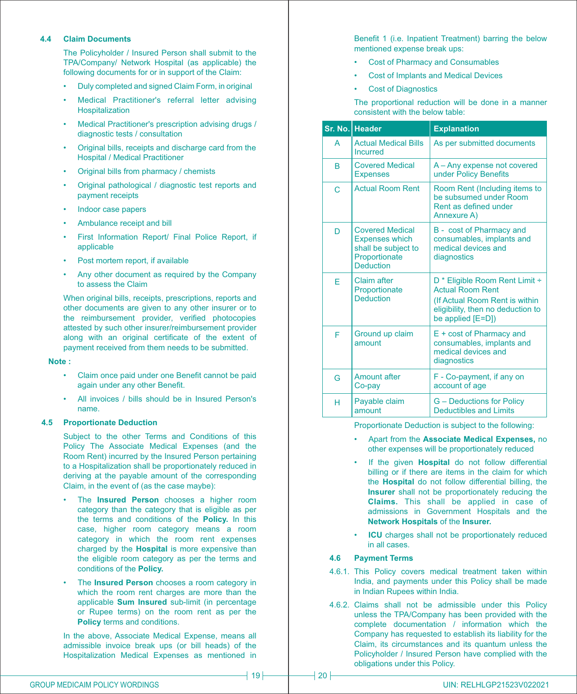#### **4.4 Claim Documents**

The Policyholder / Insured Person shall submit to the TPA/Company/ Network Hospital (as applicable) the following documents for or in support of the Claim:

- Duly completed and signed Claim Form, in original
- Medical Practitioner's referral letter advising Hospitalization
- Medical Practitioner's prescription advising drugs / diagnostic tests / consultation
- Original bills, receipts and discharge card from the Hospital / Medical Practitioner
- Original bills from pharmacy / chemists
- Original pathological / diagnostic test reports and payment receipts
- Indoor case papers
- Ambulance receipt and bill
- First Information Report/ Final Police Report, if applicable
- Post mortem report, if available
- Any other document as required by the Company to assess the Claim

When original bills, receipts, prescriptions, reports and other documents are given to any other insurer or to the reimbursement provider, verified photocopies attested by such other insurer/reimbursement provider along with an original certificate of the extent of payment received from them needs to be submitted.

#### **Note :**

- Claim once paid under one Benefit cannot be paid again under any other Benefit.
- All invoices / bills should be in Insured Person's name.

#### **4.5 Proportionate Deduction**

Subject to the other Terms and Conditions of this Policy The Associate Medical Expenses (and the Room Rent) incurred by the Insured Person pertaining to a Hospitalization shall be proportionately reduced in deriving at the payable amount of the corresponding Claim, in the event of (as the case maybe):

- The **Insured Person** chooses a higher room category than the category that is eligible as per the terms and conditions of the **Policy.** In this case, higher room category means a room category in which the room rent expenses charged by the **Hospital** is more expensive than the eligible room category as per the terms and conditions of the **Policy.**
- The **Insured Person** chooses a room category in which the room rent charges are more than the applicable **Sum Insured** sub-limit (in percentage or Rupee terms) on the room rent as per the **Policy** terms and conditions.

In the above, Associate Medical Expense, means all admissible invoice break ups (or bill heads) of the Hospitalization Medical Expenses as mentioned in Benefit 1 (i.e. Inpatient Treatment) barring the below mentioned expense break ups:

- Cost of Pharmacy and Consumables
- Cost of Implants and Medical Devices
- Cost of Diagnostics

The proportional reduction will be done in a manner consistent with the below table:

|   | Sr. No. Header                                                                                              | <b>Explanation</b>                                                                                                                                               |
|---|-------------------------------------------------------------------------------------------------------------|------------------------------------------------------------------------------------------------------------------------------------------------------------------|
| A | <b>Actual Medical Bills</b><br>Incurred                                                                     | As per submitted documents                                                                                                                                       |
| B | <b>Covered Medical</b><br><b>Expenses</b>                                                                   | A - Any expense not covered<br>under Policy Benefits                                                                                                             |
| C | <b>Actual Room Rent</b>                                                                                     | Room Rent (Including items to<br>be subsumed under Room<br>Rent as defined under<br>Annexure A)                                                                  |
| D | <b>Covered Medical</b><br><b>Expenses which</b><br>shall be subject to<br>Proportionate<br><b>Deduction</b> | B - cost of Pharmacy and<br>consumables, implants and<br>medical devices and<br>diagnostics                                                                      |
| F | Claim after<br>Proportionate<br><b>Deduction</b>                                                            | D <sup>*</sup> Eligible Room Rent Limit ÷<br><b>Actual Room Rent</b><br>(If Actual Room Rent is within<br>eligibility, then no deduction to<br>be applied [E=D]) |
| F | Ground up claim<br>amount                                                                                   | E + cost of Pharmacy and<br>consumables, implants and<br>medical devices and<br>diagnostics                                                                      |
| G | <b>Amount after</b><br>Co-pay                                                                               | F - Co-payment, if any on<br>account of age                                                                                                                      |
| н | Payable claim<br>amount                                                                                     | <b>G</b> - Deductions for Policy<br><b>Deductibles and Limits</b>                                                                                                |

Proportionate Deduction is subject to the following:

- Apart from the **Associate Medical Expenses,** no other expenses will be proportionately reduced
- If the given **Hospital** do not follow differential billing or if there are items in the claim for which the **Hospital** do not follow differential billing, the **Insurer** shall not be proportionately reducing the **Claims.** This shall be applied in case of admissions in Government Hospitals and the **Network Hospitals** of the **Insurer.**
- **ICU** charges shall not be proportionately reduced in all cases.

#### **4.6 Payment Terms**

- 4.6.1. This Policy covers medical treatment taken within India, and payments under this Policy shall be made in Indian Rupees within India.
- 4.6.2. Claims shall not be admissible under this Policy unless the TPA/Company has been provided with the complete documentation / information which the Company has requested to establish its liability for the Claim, its circumstances and its quantum unless the Policyholder / Insured Person have complied with the obligations under this Policy.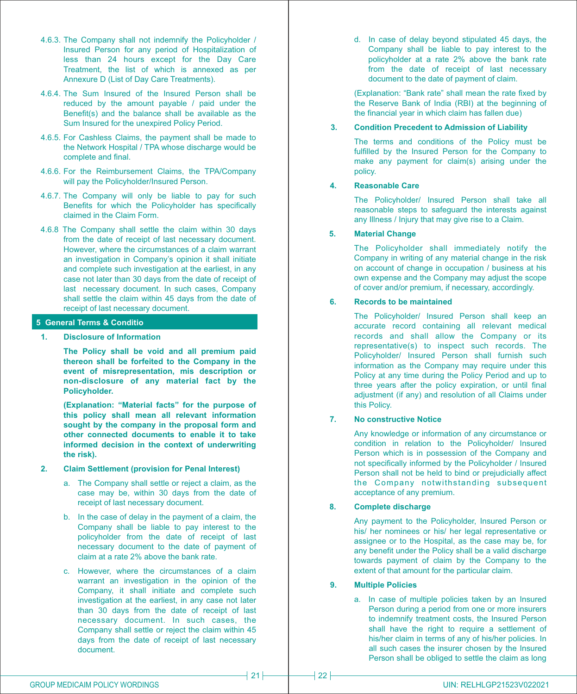- 4.6.3. The Company shall not indemnify the Policyholder / Insured Person for any period of Hospitalization of less than 24 hours except for the Day Care Treatment, the list of which is annexed as per Annexure D (List of Day Care Treatments).
- 4.6.4. The Sum Insured of the Insured Person shall be reduced by the amount payable / paid under the Benefit(s) and the balance shall be available as the Sum Insured for the unexpired Policy Period.
- 4.6.5. For Cashless Claims, the payment shall be made to the Network Hospital / TPA whose discharge would be complete and final.
- 4.6.6. For the Reimbursement Claims, the TPA/Company will pay the Policyholder/Insured Person.
- 4.6.7. The Company will only be liable to pay for such Benefits for which the Policyholder has specifically claimed in the Claim Form.
- 4.6.8 The Company shall settle the claim within 30 days from the date of receipt of last necessary document. However, where the circumstances of a claim warrant an investigation in Company's opinion it shall initiate and complete such investigation at the earliest, in any case not later than 30 days from the date of receipt of last necessary document. In such cases, Company shall settle the claim within 45 days from the date of receipt of last necessary document.

#### **5 General Terms & Conditions**

**1. Disclosure of Information**

**The Policy shall be void and all premium paid thereon shall be forfeited to the Company in the event of misrepresentation, mis description or non-disclosure of any material fact by the Policyholder.**

**(Explanation: "Material facts" for the purpose of this policy shall mean all relevant information sought by the company in the proposal form and other connected documents to enable it to take informed decision in the context of underwriting the risk).**

#### **2. Claim Settlement (provision for Penal Interest)**

- a. The Company shall settle or reject a claim, as the case may be, within 30 days from the date of receipt of last necessary document.
- b. In the case of delay in the payment of a claim, the Company shall be liable to pay interest to the policyholder from the date of receipt of last necessary document to the date of payment of claim at a rate 2% above the bank rate.
- c. However, where the circumstances of a claim warrant an investigation in the opinion of the Company, it shall initiate and complete such investigation at the earliest, in any case not later than 30 days from the date of receipt of last necessary document. In such cases, the Company shall settle or reject the claim within 45 days from the date of receipt of last necessary document.

d. In case of delay beyond stipulated 45 days, the Company shall be liable to pay interest to the policyholder at a rate 2% above the bank rate from the date of receipt of last necessary document to the date of payment of claim.

(Explanation: "Bank rate" shall mean the rate fixed by the Reserve Bank of India (RBI) at the beginning of the financial year in which claim has fallen due)

#### **3. Condition Precedent to Admission of Liability**

The terms and conditions of the Policy must be fulfilled by the Insured Person for the Company to make any payment for claim(s) arising under the policy.

# **4. Reasonable Care**

The Policyholder/ Insured Person shall take all reasonable steps to safeguard the interests against any Illness / Injury that may give rise to a Claim.

## **5. Material Change**

The Policyholder shall immediately notify the Company in writing of any material change in the risk on account of change in occupation / business at his own expense and the Company may adjust the scope of cover and/or premium, if necessary, accordingly.

# **6. Records to be maintained**

The Policyholder/ Insured Person shall keep an accurate record containing all relevant medical records and shall allow the Company or its representative(s) to inspect such records. The Policyholder/ Insured Person shall furnish such information as the Company may require under this Policy at any time during the Policy Period and up to three years after the policy expiration, or until final adjustment (if any) and resolution of all Claims under this Policy.

#### **7. No constructive Notice**

Any knowledge or information of any circumstance or condition in relation to the Policyholder/ Insured Person which is in possession of the Company and not specifically informed by the Policyholder / Insured Person shall not be held to bind or prejudicially affect the Company notwithstanding subsequent acceptance of any premium.

#### **8. Complete discharge**

Any payment to the Policyholder, Insured Person or his/ her nominees or his/ her legal representative or assignee or to the Hospital, as the case may be, for any benefit under the Policy shall be a valid discharge towards payment of claim by the Company to the extent of that amount for the particular claim.

#### **9. Multiple Policies**

a. In case of multiple policies taken by an Insured Person during a period from one or more insurers to indemnify treatment costs, the Insured Person shall have the right to require a settlement of his/her claim in terms of any of his/her policies. In all such cases the insurer chosen by the Insured Person shall be obliged to settle the claim as long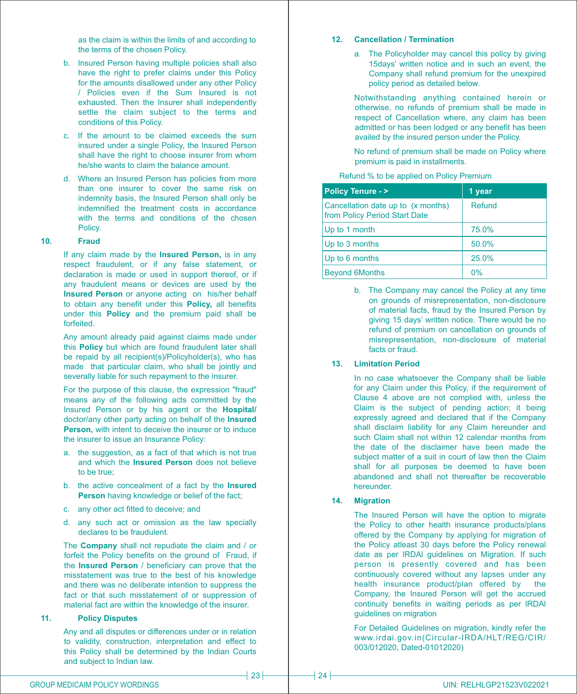as the claim is within the limits of and according to the terms of the chosen Policy.

- b. Insured Person having multiple policies shall also have the right to prefer claims under this Policy for the amounts disallowed under any other Policy / Policies even if the Sum Insured is not exhausted. Then the Insurer shall independently settle the claim subject to the terms and conditions of this Policy.
- c. If the amount to be claimed exceeds the sum insured under a single Policy, the Insured Person shall have the right to choose insurer from whom he/she wants to claim the balance amount.
- d. Where an Insured Person has policies from more than one insurer to cover the same risk on indemnity basis, the Insured Person shall only be indemnified the treatment costs in accordance with the terms and conditions of the chosen Policy.

#### **10. Fraud**

If any claim made by the **Insured Person,** is in any respect fraudulent, or if any false statement, or declaration is made or used in support thereof, or if any fraudulent means or devices are used by the **Insured Person** or anyone acting on his/her behalf to obtain any benefit under this **Policy,** all benefits under this **Policy** and the premium paid shall be forfeited.

Any amount already paid against claims made under this **Policy** but which are found fraudulent later shall be repaid by all recipient(s)/Policyholder(s), who has made that particular claim, who shall be jointly and severally liable for such repayment to the insurer.

For the purpose of this clause, the expression "fraud" means any of the following acts committed by the Insured Person or by his agent or the **Hospital/** doctor/any other party acting on behalf of the **Insured Person,** with intent to deceive the insurer or to induce the insurer to issue an Insurance Policy:

- a. the suggestion, as a fact of that which is not true and which the **Insured Person** does not believe to be true;
- b. the active concealment of a fact by the **Insured Person** having knowledge or belief of the fact:
- c. any other act fitted to deceive; and
- d. any such act or omission as the law specially declares to be fraudulent.

The **Company** shall not repudiate the claim and / or forfeit the Policy benefits on the ground of Fraud, if the **Insured Person** / beneficiary can prove that the misstatement was true to the best of his knowledge and there was no deliberate intention to suppress the fact or that such misstatement of or suppression of material fact are within the knowledge of the insurer.

#### **11. Policy Disputes**

Any and all disputes or differences under or in relation to validity, construction, interpretation and effect to this Policy shall be determined by the Indian Courts and subject to Indian law.

#### **12. Cancellation / Termination**

a. The Policyholder may cancel this policy by giving 15days' written notice and in such an event, the Company shall refund premium for the unexpired policy period as detailed below.

Notwithstanding anything contained herein or otherwise, no refunds of premium shall be made in respect of Cancellation where, any claim has been admitted or has been lodged or any benefit has been availed by the insured person under the Policy.

No refund of premium shall be made on Policy where premium is paid in installments.

Refund % to be applied on Policy Premium

| <b>Policy Tenure - &gt;</b>                                         | 1 year |
|---------------------------------------------------------------------|--------|
| Cancellation date up to (x months)<br>from Policy Period Start Date | Refund |
| Up to 1 month                                                       | 75.0%  |
| Up to 3 months                                                      | 50.0%  |
| Up to 6 months                                                      | 25.0%  |
| <b>Beyond 6Months</b>                                               | 0%     |

b. The Company may cancel the Policy at any time on grounds of misrepresentation, non-disclosure of material facts, fraud by the Insured Person by giving 15 days' written notice. There would be no refund of premium on cancellation on grounds of misrepresentation, non-disclosure of material facts or fraud.

#### **13. Limitation Period**

In no case whatsoever the Company shall be liable for any Claim under this Policy, if the requirement of Clause 4 above are not complied with, unless the Claim is the subject of pending action; it being expressly agreed and declared that if the Company shall disclaim liability for any Claim hereunder and such Claim shall not within 12 calendar months from the date of the disclaimer have been made the subject matter of a suit in court of law then the Claim shall for all purposes be deemed to have been abandoned and shall not thereafter be recoverable hereunder.

#### **14. Migration**

The Insured Person will have the option to migrate the Policy to other health insurance products/plans offered by the Company by applying for migration of the Policy atleast 30 days before the Policy renewal date as per lRDAl guidelines on Migration. If such person is presently covered and has been continuously covered without any lapses under any health insurance product/plan offered by the Company, the Insured Person will get the accrued continuity benefits in waiting periods as per lRDAl guidelines on migration

For Detailed Guidelines on migration, kindly refer the www.irdai.gov.in(Circular-IRDA/HLT/REG/CIR/ 003/012020, Dated-01012020)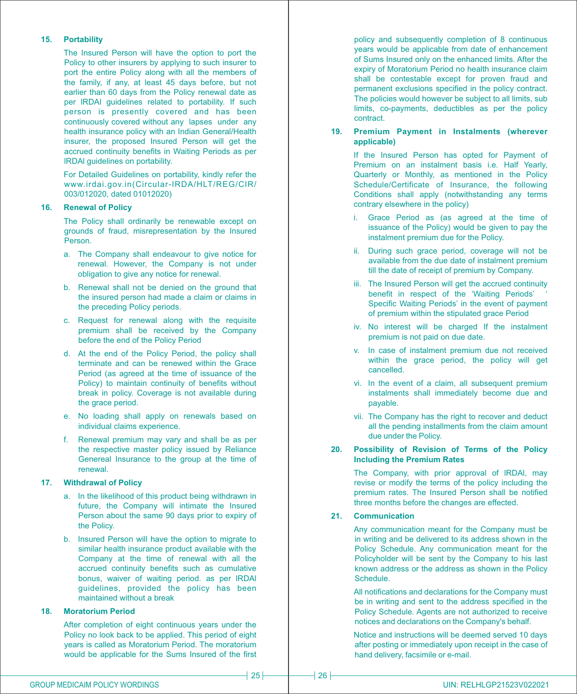## **15. Portability**

The Insured Person will have the option to port the Policy to other insurers by applying to such insurer to port the entire Policy along with all the members of the family, if any, at least 45 days before, but not earlier than 60 days from the Policy renewal date as per lRDAl guidelines related to portability. If such person is presently covered and has been continuously covered without any lapses under any health insurance policy with an Indian General/Health insurer, the proposed Insured Person will get the accrued continuity benefits in Waiting Periods as per lRDAl guidelines on portability.

For Detailed Guidelines on portability, kindly refer the www.irdai.gov.in(Circular-IRDA/HLT/REG/CIR/ 003/012020, dated 01012020)

## **16. Renewal of Policy**

The Policy shall ordinarily be renewable except on grounds of fraud, misrepresentation by the Insured Person.

- a. The Company shall endeavour to give notice for renewal. However, the Company is not under obligation to give any notice for renewal.
- b. Renewal shall not be denied on the ground that the insured person had made a claim or claims in the preceding Policy periods.
- c. Request for renewal along with the requisite premium shall be received by the Company before the end of the Policy Period
- d. At the end of the Policy Period, the policy shall terminate and can be renewed within the Grace Period (as agreed at the time of issuance of the Policy) to maintain continuity of benefits without break in policy. Coverage is not available during the grace period.
- e. No loading shall apply on renewals based on individual claims experience.
- f. Renewal premium may vary and shall be as per the respective master policy issued by Reliance Genereal Insurance to the group at the time of renewal.

# **17. Withdrawal of Policy**

- a. In the likelihood of this product being withdrawn in future, the Company will intimate the Insured Person about the same 90 days prior to expiry of the Policy.
- b. Insured Person will have the option to migrate to similar health insurance product available with the Company at the time of renewal with all the accrued continuity benefits such as cumulative bonus, waiver of waiting period. as per lRDAl guidelines, provided the policy has been maintained without a break

# **18. Moratorium Period**

After completion of eight continuous years under the Policy no look back to be applied. This period of eight years is called as Moratorium Period. The moratorium would be applicable for the Sums Insured of the first policy and subsequently completion of 8 continuous years would be applicable from date of enhancement of Sums Insured only on the enhanced limits. After the expiry of Moratorium Period no health insurance claim shall be contestable except for proven fraud and permanent exclusions specified in the policy contract. The policies would however be subject to all limits, sub limits, co-payments, deductibles as per the policy contract.

#### **19. Premium Payment in Instalments (wherever applicable)**

If the Insured Person has opted for Payment of Premium on an instalment basis i.e. Half Yearly, Quarterly or Monthly, as mentioned in the Policy Schedule/Certificate of Insurance, the following Conditions shall apply (notwithstanding any terms contrary elsewhere in the policy)

- i. Grace Period as (as agreed at the time of issuance of the Policy) would be given to pay the instalment premium due for the Policy.
- ii. During such grace period, coverage will not be available from the due date of instalment premium till the date of receipt of premium by Company.
- iii. The Insured Person will get the accrued continuity benefit in respect of the 'Waiting Periods' Specific Waiting Periods' in the event of payment of premium within the stipulated grace Period
- iv. No interest will be charged If the instalment premium is not paid on due date.
- v. In case of instalment premium due not received within the grace period, the policy will get cancelled.
- vi. In the event of a claim, all subsequent premium instalments shall immediately become due and payable.
- vii. The Company has the right to recover and deduct all the pending installments from the claim amount due under the Policy.

#### **20. Possibility of Revision of Terms of the Policy Including the Premium Rates**

The Company, with prior approval of lRDAl, may revise or modify the terms of the policy including the premium rates. The Insured Person shall be notified three months before the changes are effected.

# **21. Communication**

Any communication meant for the Company must be in writing and be delivered to its address shown in the Policy Schedule. Any communication meant for the Policyholder will be sent by the Company to his last known address or the address as shown in the Policy Schedule.

All notifications and declarations for the Company must be in writing and sent to the address specified in the Policy Schedule. Agents are not authorized to receive notices and declarations on the Company's behalf.

Notice and instructions will be deemed served 10 days after posting or immediately upon receipt in the case of hand delivery, facsimile or e-mail.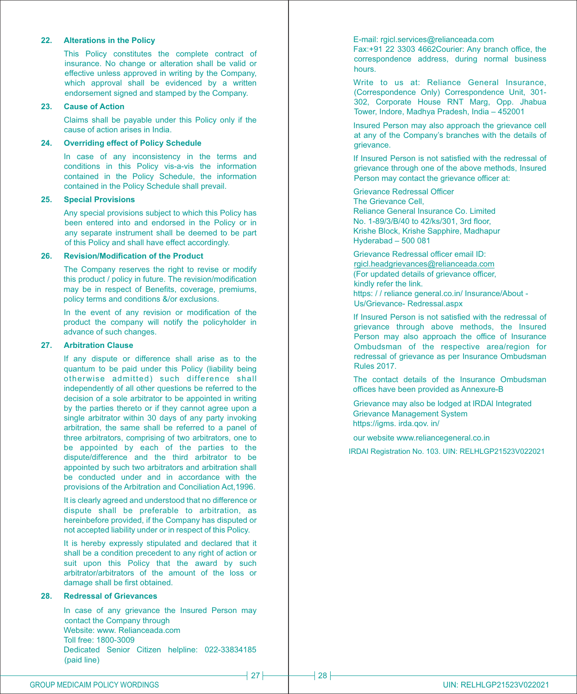#### **22. Alterations in the Policy**

This Policy constitutes the complete contract of insurance. No change or alteration shall be valid or effective unless approved in writing by the Company, which approval shall be evidenced by a written endorsement signed and stamped by the Company.

#### **23. Cause of Action**

Claims shall be payable under this Policy only if the cause of action arises in India.

#### **24. Overriding effect of Policy Schedule**

In case of any inconsistency in the terms and conditions in this Policy vis-a-vis the information contained in the Policy Schedule, the information contained in the Policy Schedule shall prevail.

#### **25. Special Provisions**

Any special provisions subject to which this Policy has been entered into and endorsed in the Policy or in any separate instrument shall be deemed to be part of this Policy and shall have effect accordingly.

#### **26. Revision/Modification of the Product**

The Company reserves the right to revise or modify this product / policy in future. The revision/modification may be in respect of Benefits, coverage, premiums, policy terms and conditions &/or exclusions.

In the event of any revision or modification of the product the company will notify the policyholder in advance of such changes.

#### **27. Arbitration Clause**

If any dispute or difference shall arise as to the quantum to be paid under this Policy (liability being otherwise admitted) such difference shall independently of all other questions be referred to the decision of a sole arbitrator to be appointed in writing by the parties thereto or if they cannot agree upon a single arbitrator within 30 days of any party invoking arbitration, the same shall be referred to a panel of three arbitrators, comprising of two arbitrators, one to be appointed by each of the parties to the dispute/difference and the third arbitrator to be appointed by such two arbitrators and arbitration shall be conducted under and in accordance with the provisions of the Arbitration and Conciliation Act,1996.

It is clearly agreed and understood that no difference or dispute shall be preferable to arbitration, as hereinbefore provided, if the Company has disputed or not accepted liability under or in respect of this Policy.

It is hereby expressly stipulated and declared that it shall be a condition precedent to any right of action or suit upon this Policy that the award by such arbitrator/arbitrators of the amount of the loss or damage shall be first obtained.

# **28. Redressal of Grievances**

In case of any grievance the Insured Person may contact the Company through Website: www. Relianceada.com Toll free: 1800-3009 Dedicated Senior Citizen helpline: 022-33834185 (paid line)

#### E-mail: rgicl.services@relianceada.com

Fax:+91 22 3303 4662Courier: Any branch office, the correspondence address, during normal business hours.

Write to us at: Reliance General Insurance, (Correspondence Only) Correspondence Unit, 301- 302, Corporate House RNT Marg, Opp. Jhabua Tower, Indore, Madhya Pradesh, India – 452001

Insured Person may also approach the grievance cell at any of the Company's branches with the details of grievance.

If Insured Person is not satisfied with the redressal of grievance through one of the above methods, Insured Person may contact the grievance officer at:

#### Grievance Redressal Officer Reliance General Insurance Co. Limited The Grievance Cell, No. 1-89/3/B/40 to 42/ks/301, 3rd floor, Krishe Block, Krishe Sapphire, Madhapur Hyderabad – 500 081

(For updated details of grievance officer, kindly refer the link. Grievance Redressal officer email ID: rgicl.headgrievances@relianceada.com

https: / / reliance general.co.in/ Insurance/About - Us/Grievance- Redressal.aspx

If Insured Person is not satisfied with the redressal of grievance through above methods, the Insured Person may also approach the office of Insurance Ombudsman of the respective area/region for redressal of grievance as per Insurance Ombudsman Rules 2017.

The contact details of the Insurance Ombudsman offices have been provided as Annexure-B

Grievance may also be lodged at lRDAl Integrated Grievance Management System https://igms. irda.qov. in/

our website www.reliancegeneral.co.in

IRDAI Registration No. 103. UIN: RELHLGP21523V022021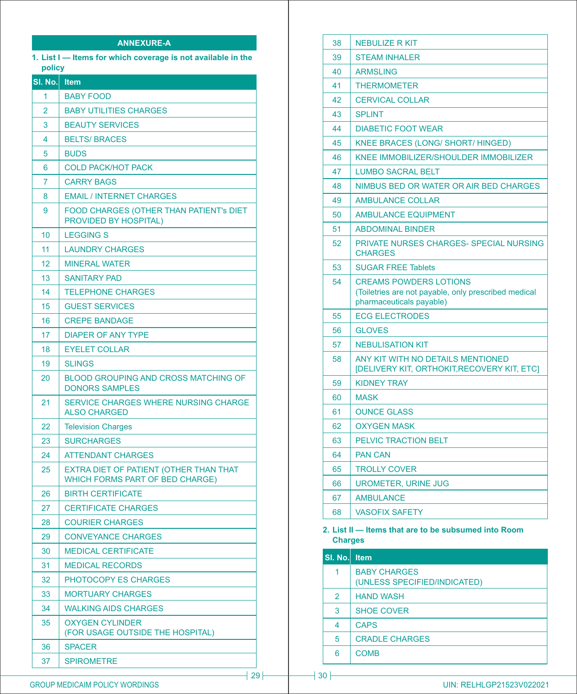# **ANNEXURE-A**

**1. List I — Items for which coverage is not available in the policy**

| <u>SI. No.</u> | Item                                                                             |
|----------------|----------------------------------------------------------------------------------|
| 1              | <b>BABY FOOD</b>                                                                 |
| 2              | <b>BABY UTILITIES CHARGES</b>                                                    |
| 3              | <b>BEAUTY SERVICES</b>                                                           |
| 4              | <b>BELTS/BRACES</b>                                                              |
| 5              | <b>BUDS</b>                                                                      |
| 6              | <b>COLD PACK/HOT PACK</b>                                                        |
| 7              | <b>CARRY BAGS</b>                                                                |
| 8              | <b>EMAIL / INTERNET CHARGES</b>                                                  |
| 9              | <b>FOOD CHARGES (OTHER THAN PATIENT'S DIET</b><br><b>PROVIDED BY HOSPITAL)</b>   |
| 10             | <b>LEGGING S</b>                                                                 |
| 11             | <b>LAUNDRY CHARGES</b>                                                           |
| 12             | <b>MINERAL WATER</b>                                                             |
| 13             | <b>SANITARY PAD</b>                                                              |
| 14             | <b>TELEPHONE CHARGES</b>                                                         |
| 15             | <b>GUEST SERVICES</b>                                                            |
| 16             | <b>CREPE BANDAGE</b>                                                             |
| 17             | <b>DIAPER OF ANY TYPE</b>                                                        |
| 18             | <b>EYELET COLLAR</b>                                                             |
| 19             | <b>SLINGS</b>                                                                    |
| 20             | <b>BLOOD GROUPING AND CROSS MATCHING OF</b><br><b>DONORS SAMPLES</b>             |
| 21             | SERVICE CHARGES WHERE NURSING CHARGE<br><b>ALSO CHARGED</b>                      |
| 22             | <b>Television Charges</b>                                                        |
| 23             | <b>SURCHARGES</b>                                                                |
| 24             | <b>ATTENDANT CHARGES</b>                                                         |
| 25             | EXTRA DIET OF PATIENT (OTHER THAN THAT<br><b>WHICH FORMS PART OF BED CHARGE)</b> |
| 26             | <b>BIRTH CERTIFICATE</b>                                                         |
| 27             | <b>CERTIFICATE CHARGES</b>                                                       |
| 28             | <b>COURIER CHARGES</b>                                                           |
| 29             | <b>CONVEYANCE CHARGES</b>                                                        |
| 30             | <b>MEDICAL CERTIFICATE</b>                                                       |
| 31             | <b>MEDICAL RECORDS</b>                                                           |
| 32             | <b>PHOTOCOPY ES CHARGES</b>                                                      |
| 33             | <b>MORTUARY CHARGES</b>                                                          |
| 34             | <b>WALKING AIDS CHARGES</b>                                                      |
| 35             | <b>OXYGEN CYLINDER</b><br>(FOR USAGE OUTSIDE THE HOSPITAL)                       |
| 36             | <b>SPACER</b>                                                                    |
| 37             | <b>SPIROMETRE</b>                                                                |

| 39<br><b>STEAM INHALER</b><br>40<br><b>ARMSLING</b><br>41<br><b>THERMOMETER</b><br><b>CERVICAL COLLAR</b><br>42<br>43<br><b>SPLINT</b><br>44<br><b>DIABETIC FOOT WEAR</b><br>45<br><b>KNEE BRACES (LONG/ SHORT/ HINGED)</b><br>KNEE IMMOBILIZER/SHOULDER IMMOBILIZER<br>46<br><b>LUMBO SACRAL BELT</b><br>47<br>NIMBUS BED OR WATER OR AIR BED CHARGES<br>48<br><b>AMBULANCE COLLAR</b><br>49<br>50<br><b>AMBULANCE EQUIPMENT</b><br>51<br><b>ABDOMINAL BINDER</b><br>52<br>PRIVATE NURSES CHARGES- SPECIAL NURSING<br><b>CHARGES</b><br>53<br><b>SUGAR FREE Tablets</b><br><b>CREAMS POWDERS LOTIONS</b><br>54<br>(Toiletries are not payable, only prescribed medical<br>pharmaceuticals payable)<br>55<br><b>ECG ELECTRODES</b><br>56<br><b>GLOVES</b><br>57<br><b>NEBULISATION KIT</b><br>58<br>ANY KIT WITH NO DETAILS MENTIONED<br>[DELIVERY KIT, ORTHOKIT, RECOVERY KIT, ETC]<br>59<br><b>KIDNEY TRAY</b><br><b>MASK</b><br>60<br>61<br><b>OUNCE GLASS</b><br><b>OXYGEN MASK</b><br>62<br>PELVIC TRACTION BELT<br>63<br>64<br><b>PAN CAN</b><br><b>TROLLY COVER</b><br>65<br>66<br><b>UROMETER, URINE JUG</b><br>67<br><b>AMBULANCE</b> | 38 | <b>NEBULIZE R KIT</b> |
|------------------------------------------------------------------------------------------------------------------------------------------------------------------------------------------------------------------------------------------------------------------------------------------------------------------------------------------------------------------------------------------------------------------------------------------------------------------------------------------------------------------------------------------------------------------------------------------------------------------------------------------------------------------------------------------------------------------------------------------------------------------------------------------------------------------------------------------------------------------------------------------------------------------------------------------------------------------------------------------------------------------------------------------------------------------------------------------------------------------------------------------------|----|-----------------------|
|                                                                                                                                                                                                                                                                                                                                                                                                                                                                                                                                                                                                                                                                                                                                                                                                                                                                                                                                                                                                                                                                                                                                                |    |                       |
|                                                                                                                                                                                                                                                                                                                                                                                                                                                                                                                                                                                                                                                                                                                                                                                                                                                                                                                                                                                                                                                                                                                                                |    |                       |
|                                                                                                                                                                                                                                                                                                                                                                                                                                                                                                                                                                                                                                                                                                                                                                                                                                                                                                                                                                                                                                                                                                                                                |    |                       |
|                                                                                                                                                                                                                                                                                                                                                                                                                                                                                                                                                                                                                                                                                                                                                                                                                                                                                                                                                                                                                                                                                                                                                |    |                       |
|                                                                                                                                                                                                                                                                                                                                                                                                                                                                                                                                                                                                                                                                                                                                                                                                                                                                                                                                                                                                                                                                                                                                                |    |                       |
|                                                                                                                                                                                                                                                                                                                                                                                                                                                                                                                                                                                                                                                                                                                                                                                                                                                                                                                                                                                                                                                                                                                                                |    |                       |
|                                                                                                                                                                                                                                                                                                                                                                                                                                                                                                                                                                                                                                                                                                                                                                                                                                                                                                                                                                                                                                                                                                                                                |    |                       |
|                                                                                                                                                                                                                                                                                                                                                                                                                                                                                                                                                                                                                                                                                                                                                                                                                                                                                                                                                                                                                                                                                                                                                |    |                       |
|                                                                                                                                                                                                                                                                                                                                                                                                                                                                                                                                                                                                                                                                                                                                                                                                                                                                                                                                                                                                                                                                                                                                                |    |                       |
|                                                                                                                                                                                                                                                                                                                                                                                                                                                                                                                                                                                                                                                                                                                                                                                                                                                                                                                                                                                                                                                                                                                                                |    |                       |
|                                                                                                                                                                                                                                                                                                                                                                                                                                                                                                                                                                                                                                                                                                                                                                                                                                                                                                                                                                                                                                                                                                                                                |    |                       |
|                                                                                                                                                                                                                                                                                                                                                                                                                                                                                                                                                                                                                                                                                                                                                                                                                                                                                                                                                                                                                                                                                                                                                |    |                       |
|                                                                                                                                                                                                                                                                                                                                                                                                                                                                                                                                                                                                                                                                                                                                                                                                                                                                                                                                                                                                                                                                                                                                                |    |                       |
|                                                                                                                                                                                                                                                                                                                                                                                                                                                                                                                                                                                                                                                                                                                                                                                                                                                                                                                                                                                                                                                                                                                                                |    |                       |
|                                                                                                                                                                                                                                                                                                                                                                                                                                                                                                                                                                                                                                                                                                                                                                                                                                                                                                                                                                                                                                                                                                                                                |    |                       |
|                                                                                                                                                                                                                                                                                                                                                                                                                                                                                                                                                                                                                                                                                                                                                                                                                                                                                                                                                                                                                                                                                                                                                |    |                       |
|                                                                                                                                                                                                                                                                                                                                                                                                                                                                                                                                                                                                                                                                                                                                                                                                                                                                                                                                                                                                                                                                                                                                                |    |                       |
|                                                                                                                                                                                                                                                                                                                                                                                                                                                                                                                                                                                                                                                                                                                                                                                                                                                                                                                                                                                                                                                                                                                                                |    |                       |
|                                                                                                                                                                                                                                                                                                                                                                                                                                                                                                                                                                                                                                                                                                                                                                                                                                                                                                                                                                                                                                                                                                                                                |    |                       |
|                                                                                                                                                                                                                                                                                                                                                                                                                                                                                                                                                                                                                                                                                                                                                                                                                                                                                                                                                                                                                                                                                                                                                |    |                       |
|                                                                                                                                                                                                                                                                                                                                                                                                                                                                                                                                                                                                                                                                                                                                                                                                                                                                                                                                                                                                                                                                                                                                                |    |                       |
|                                                                                                                                                                                                                                                                                                                                                                                                                                                                                                                                                                                                                                                                                                                                                                                                                                                                                                                                                                                                                                                                                                                                                |    |                       |
|                                                                                                                                                                                                                                                                                                                                                                                                                                                                                                                                                                                                                                                                                                                                                                                                                                                                                                                                                                                                                                                                                                                                                |    |                       |
|                                                                                                                                                                                                                                                                                                                                                                                                                                                                                                                                                                                                                                                                                                                                                                                                                                                                                                                                                                                                                                                                                                                                                |    |                       |
|                                                                                                                                                                                                                                                                                                                                                                                                                                                                                                                                                                                                                                                                                                                                                                                                                                                                                                                                                                                                                                                                                                                                                |    |                       |
|                                                                                                                                                                                                                                                                                                                                                                                                                                                                                                                                                                                                                                                                                                                                                                                                                                                                                                                                                                                                                                                                                                                                                |    |                       |
|                                                                                                                                                                                                                                                                                                                                                                                                                                                                                                                                                                                                                                                                                                                                                                                                                                                                                                                                                                                                                                                                                                                                                |    |                       |
|                                                                                                                                                                                                                                                                                                                                                                                                                                                                                                                                                                                                                                                                                                                                                                                                                                                                                                                                                                                                                                                                                                                                                |    |                       |
|                                                                                                                                                                                                                                                                                                                                                                                                                                                                                                                                                                                                                                                                                                                                                                                                                                                                                                                                                                                                                                                                                                                                                |    |                       |
| <b>VASOFIX SAFETY</b><br>68                                                                                                                                                                                                                                                                                                                                                                                                                                                                                                                                                                                                                                                                                                                                                                                                                                                                                                                                                                                                                                                                                                                    |    |                       |

# **2. List II — Items that are to be subsumed into Room Charges**

| SI. No. Item   |                                                     |
|----------------|-----------------------------------------------------|
|                | <b>BABY CHARGES</b><br>(UNLESS SPECIFIED/INDICATED) |
| $\overline{2}$ | <b>HAND WASH</b>                                    |
| 3              | <b>SHOE COVER</b>                                   |
| 4              | <b>CAPS</b>                                         |
| 5              | <b>CRADLE CHARGES</b>                               |
| 6              | <b>COMB</b>                                         |

# GROUP MEDICAIM POLICY WORDINGS **EXECUTES A RELATION CONTROL** THEORY OF THE STATE OF THE STATE OF THE STATE OF THE STATE OF THE STATE OF THE STATE OF THE STATE OF THE STATE OF THE STATE OF THE STATE OF THE STATE OF THE STAT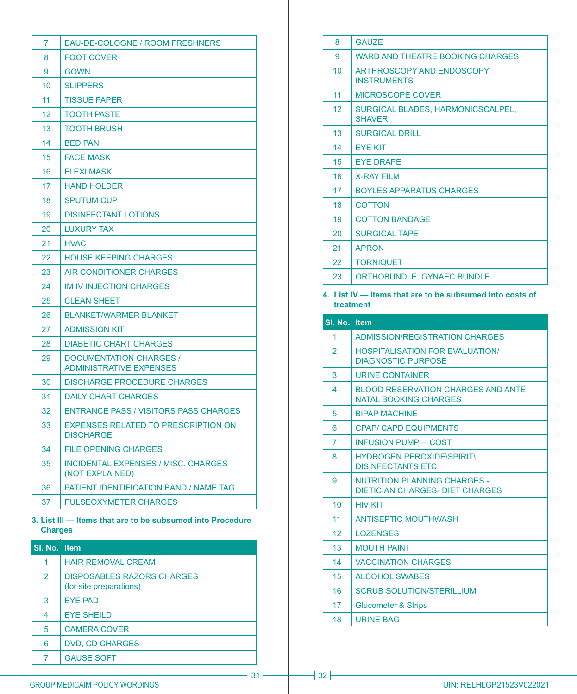| 7  | EAU-DE-COLOGNE / ROOM FRESHNERS                                  |
|----|------------------------------------------------------------------|
| 8  | <b>FOOT COVER</b>                                                |
| 9  | <b>GOWN</b>                                                      |
| 10 | <b>SLIPPERS</b>                                                  |
| 11 | <b>TISSUE PAPER</b>                                              |
| 12 | <b>TOOTH PASTE</b>                                               |
| 13 | <b>TOOTH BRUSH</b>                                               |
| 14 | <b>BED PAN</b>                                                   |
| 15 | <b>FACE MASK</b>                                                 |
| 16 | <b>FLEXI MASK</b>                                                |
| 17 | <b>HAND HOLDER</b>                                               |
| 18 | <b>SPUTUM CUP</b>                                                |
| 19 | <b>DISINFECTANT LOTIONS</b>                                      |
| 20 | <b>LUXURY TAX</b>                                                |
| 21 | <b>HVAC</b>                                                      |
| 22 | <b>HOUSE KEEPING CHARGES</b>                                     |
| 23 | AIR CONDITIONER CHARGES                                          |
| 24 | <b>IM IV INJECTION CHARGES</b>                                   |
| 25 | <b>CLEAN SHEET</b>                                               |
| 26 | <b>BLANKET/WARMER BLANKET</b>                                    |
| 27 | <b>ADMISSION KIT</b>                                             |
| 28 | <b>DIABETIC CHART CHARGES</b>                                    |
| 29 | <b>DOCUMENTATION CHARGES /</b><br><b>ADMINISTRATIVE EXPENSES</b> |
| 30 | <b>DISCHARGE PROCEDURE CHARGES</b>                               |
| 31 | <b>DAILY CHART CHARGES</b>                                       |
| 32 | <b>ENTRANCE PASS / VISITORS PASS CHARGES</b>                     |
| 33 | <b>EXPENSES RELATED TO PRESCRIPTION ON</b><br><b>DISCHARGE</b>   |
| 34 | <b>FILE OPENING CHARGES</b>                                      |
| 35 | <b>INCIDENTAL EXPENSES / MISC. CHARGES</b><br>(NOT EXPLAINED)    |
| 36 | PATIENT IDENTIFICATION BAND / NAME TAG                           |
| 37 | <b>PULSEOXYMETER CHARGES</b>                                     |

## **3. List III — Items that are to be subsumed into Procedure Charges**

| SI. No. Item   |                                                              |
|----------------|--------------------------------------------------------------|
| 1              | <b>HAIR REMOVAL CREAM</b>                                    |
| $\overline{2}$ | <b>DISPOSABLES RAZORS CHARGES</b><br>(for site preparations) |
| 3              | <b>EYE PAD</b>                                               |
| 4              | <b>EYE SHEILD</b>                                            |
| 5              | <b>CAMERA COVER</b>                                          |
| 6              | <b>DVD, CD CHARGES</b>                                       |
| 7              | <b>GAUSE SOFT</b>                                            |

| 8  | <b>GAUZE</b>                                       |
|----|----------------------------------------------------|
| 9  | WARD AND THEATRE BOOKING CHARGES                   |
| 10 | ARTHROSCOPY AND ENDOSCOPY<br><b>INSTRUMENTS</b>    |
| 11 | <b>MICROSCOPE COVER</b>                            |
| 12 | SURGICAL BLADES, HARMONICSCALPEL,<br><b>SHAVER</b> |
| 13 | <b>SURGICAL DRILL</b>                              |
| 14 | <b>EYE KIT</b>                                     |
| 15 | <b>FYF DRAPF</b>                                   |
| 16 | <b>X-RAY FILM</b>                                  |
| 17 | <b>BOYLES APPARATUS CHARGES</b>                    |
| 18 | <b>COTTON</b>                                      |
| 19 | <b>COTTON BANDAGE</b>                              |
| 20 | <b>SURGICAL TAPE</b>                               |
| 21 | <b>APRON</b>                                       |
| 22 | <b>TORNIQUET</b>                                   |
| 23 | <b>ORTHOBUNDLE, GYNAEC BUNDLE</b>                  |

# **4. List IV — Items that are to be subsumed into costs of treatment**

| SI. No. Item            |                                                                           |
|-------------------------|---------------------------------------------------------------------------|
| 1                       | ADMISSION/REGISTRATION CHARGES                                            |
| $\mathcal{P}$           | <b>HOSPITAL ISATION FOR EVALUATION/</b><br><b>DIAGNOSTIC PURPOSE</b>      |
| 3                       | <b>URINE CONTAINER</b>                                                    |
| $\overline{\mathbf{A}}$ | <b>BLOOD RESERVATION CHARGES AND ANTE</b><br><b>NATAL BOOKING CHARGES</b> |
| 5                       | <b>BIPAP MACHINE</b>                                                      |
| 6                       | <b>CPAP/ CAPD EQUIPMENTS</b>                                              |
| $\overline{7}$          | <b>INFUSION PUMP-COST</b>                                                 |
| 8                       | <b>HYDROGEN PEROXIDE\SPIRIT\</b><br><b>DISINFECTANTS ETC</b>              |
| 9                       | NUTRITION PLANNING CHARGES -<br>DIFTICIAN CHARGES- DIFT CHARGES           |
| 10                      | <b>HIV KIT</b>                                                            |
| 11                      | <b>ANTISEPTIC MOUTHWASH</b>                                               |
| 12                      | <b>LOZENGES</b>                                                           |
| 13                      | <b>MOUTH PAINT</b>                                                        |
| 14                      | <b>VACCINATION CHARGES</b>                                                |
| 15                      | ALCOHOL SWARES                                                            |
| 16                      | <b>SCRUB SOLUTION/STERILLIUM</b>                                          |
| 17                      | <b>Glucometer &amp; Strips</b>                                            |
| 18                      | <b>URINE BAG</b>                                                          |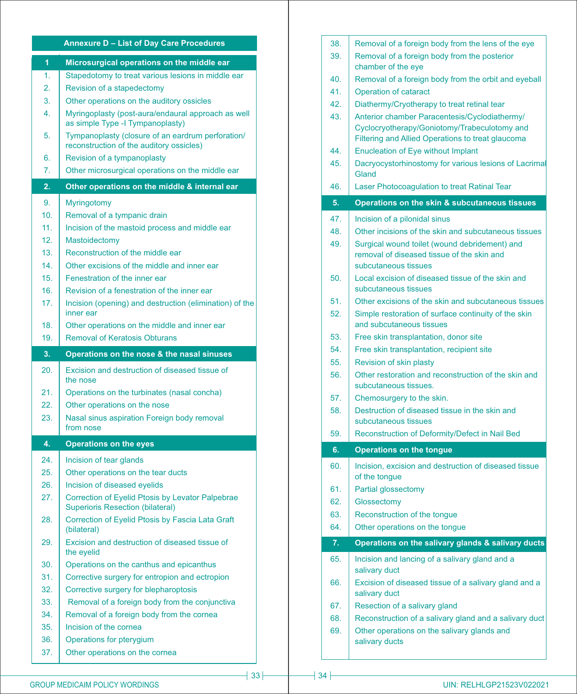# **Annexure D – List of Day Care Procedures**

| $\overline{1}$  | Microsurgical operations on the middle ear                                                    |
|-----------------|-----------------------------------------------------------------------------------------------|
| 1.              | Stapedotomy to treat various lesions in middle ear                                            |
| 2.              | Revision of a stapedectomy                                                                    |
| 3.              | Other operations on the auditory ossicles                                                     |
| 4.              | Myringoplasty (post-aura/endaural approach as well<br>as simple Type -I Tympanoplasty)        |
| 5.              | Tympanoplasty (closure of an eardrum perforation/<br>reconstruction of the auditory ossicles) |
| 6.              | Revision of a tympanoplasty                                                                   |
| 7.              | Other microsurgical operations on the middle ear                                              |
| 2.              | Other operations on the middle & internal ear                                                 |
| 9.              | <b>Myringotomy</b>                                                                            |
| 10.             | Removal of a tympanic drain                                                                   |
| 11.             | Incision of the mastoid process and middle ear                                                |
| 12.             | <b>Mastoidectomy</b>                                                                          |
| 13.             | Reconstruction of the middle ear                                                              |
| 14.             | Other excisions of the middle and inner ear                                                   |
| 15.             | Fenestration of the inner ear                                                                 |
| 16 <sup>1</sup> | Revision of a fenestration of the inner ear                                                   |
| 17.             | Incision (opening) and destruction (elimination) of the                                       |
|                 | inner ear                                                                                     |
| 18.             | Other operations on the middle and inner ear                                                  |
| 19.             | <b>Removal of Keratosis Obturans</b>                                                          |
| 3.              | Operations on the nose & the nasal sinuses                                                    |
| 20.             | Excision and destruction of diseased tissue of                                                |
|                 | the nose                                                                                      |
| 21.             | Operations on the turbinates (nasal concha)                                                   |
| 22.             | Other operations on the nose                                                                  |
| 23.             | Nasal sinus aspiration Foreign body removal<br>from nose                                      |
| 4.              | <b>Operations on the eyes</b>                                                                 |
|                 |                                                                                               |
| 24.<br>25.      | Incision of tear glands                                                                       |
| 26.             | Other operations on the tear ducts<br>Incision of diseased eyelids                            |
| 27.             | Correction of Eyelid Ptosis by Levator Palpebrae                                              |
| 28.             | <b>Superioris Resection (bilateral)</b><br>Correction of Eyelid Ptosis by Fascia Lata Graft   |
| 29.             | (bilateral)<br>Excision and destruction of diseased tissue of<br>the eyelid                   |
| 30.             |                                                                                               |
| 31.             | Operations on the canthus and epicanthus<br>Corrective surgery for entropion and ectropion    |
| 32.             |                                                                                               |
| 33.             | Corrective surgery for blepharoptosis<br>Removal of a foreign body from the conjunctiva       |
| 34.             |                                                                                               |
| 35.             | Removal of a foreign body from the cornea<br>Incision of the cornea                           |
| 36.             | Operations for pterygium                                                                      |
| 37.             | Other operations on the cornea                                                                |

| 38. | Removal of a foreign body from the lens of the eye                               |
|-----|----------------------------------------------------------------------------------|
| 39. | Removal of a foreign body from the posterior<br>chamber of the eye               |
| 40. | Removal of a foreign body from the orbit and eyeball                             |
| 41. | <b>Operation of cataract</b>                                                     |
| 42. | Diathermy/Cryotherapy to treat retinal tear                                      |
| 43. | Anterior chamber Paracentesis/Cyclodiathermy/                                    |
|     | Cyclocryotherapy/Goniotomy/Trabeculotomy and                                     |
|     | Filtering and Allied Operations to treat glaucoma                                |
| 44. | <b>Enucleation of Eye without Implant</b>                                        |
| 45. | Dacryocystorhinostomy for various lesions of Lacrimal<br>Gland                   |
| 46. | Laser Photocoagulation to treat Ratinal Tear                                     |
| 5.  | Operations on the skin & subcutaneous tissues                                    |
| 47. | Incision of a pilonidal sinus                                                    |
| 48. | Other incisions of the skin and subcutaneous tissues                             |
| 49. | Surgical wound toilet (wound debridement) and                                    |
|     | removal of diseased tissue of the skin and<br>subcutaneous tissues               |
| 50. | Local excision of diseased tissue of the skin and                                |
|     | subcutaneous tissues                                                             |
| 51. | Other excisions of the skin and subcutaneous tissues                             |
| 52. | Simple restoration of surface continuity of the skin<br>and subcutaneous tissues |
| 53. | Free skin transplantation, donor site                                            |
| 54. | Free skin transplantation, recipient site                                        |
| 55. | Revision of skin plasty                                                          |
| 56. | Other restoration and reconstruction of the skin and<br>subcutaneous tissues.    |
| 57. | Chemosurgery to the skin.                                                        |
| 58. | Destruction of diseased tissue in the skin and<br>subcutaneous tissues           |
| 59. | Reconstruction of Deformity/Defect in Nail Bed                                   |
| 6.  | <b>Operations on the tongue</b>                                                  |
| 60. | Incision, excision and destruction of diseased tissue<br>of the tongue           |
| 61. | Partial glossectomy                                                              |
| 62. | Glossectomy                                                                      |
| 63. | Reconstruction of the tongue                                                     |
| 64. | Other operations on the tonque                                                   |
| 7.  | Operations on the salivary glands & salivary ducts                               |
| 65. | Incision and lancing of a salivary gland and a<br>salivary duct                  |
| 66. | Excision of diseased tissue of a salivary gland and a<br>salivary duct           |
| 67. | Resection of a salivary gland                                                    |
| 68. | Reconstruction of a salivary gland and a salivary duct                           |
| 69. | Other operations on the salivary glands and<br>salivary ducts                    |
|     |                                                                                  |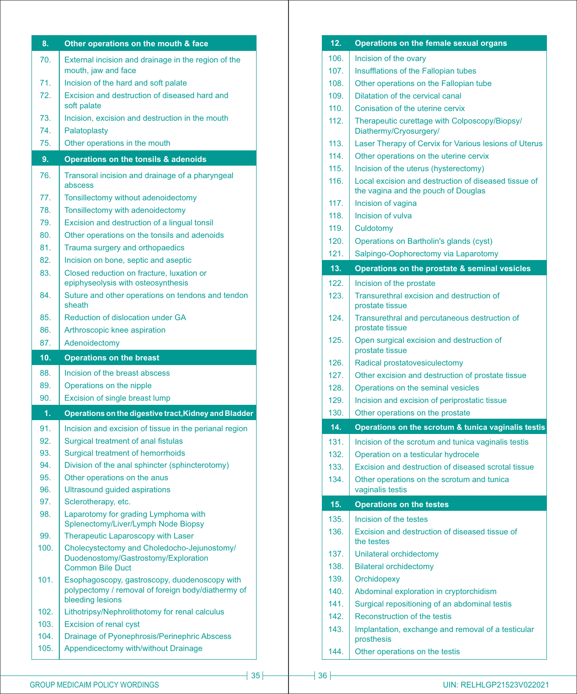| 8.           | Other operations on the mouth & face                                                                                    |
|--------------|-------------------------------------------------------------------------------------------------------------------------|
| 70.          | External incision and drainage in the region of the<br>mouth, jaw and face                                              |
| 71.          | Incision of the hard and soft palate                                                                                    |
| 72.          | Excision and destruction of diseased hard and<br>soft palate                                                            |
| 73.          | Incision, excision and destruction in the mouth                                                                         |
| 74.          | Palatoplasty                                                                                                            |
| 75.          | Other operations in the mouth                                                                                           |
| 9.           | Operations on the tonsils & adenoids                                                                                    |
| 76.          | Transoral incision and drainage of a pharyngeal<br>abscess                                                              |
| 77.          | Tonsillectomy without adenoidectomy                                                                                     |
| 78.          | Tonsillectomy with adenoidectomy                                                                                        |
| 79.          | Excision and destruction of a lingual tonsil                                                                            |
| 80.          | Other operations on the tonsils and adenoids                                                                            |
| 81.          | Trauma surgery and orthopaedics                                                                                         |
| 82.          | Incision on bone, septic and aseptic                                                                                    |
| 83.          | Closed reduction on fracture, luxation or<br>epiphyseolysis with osteosynthesis                                         |
| 84.          | Suture and other operations on tendons and tendon<br>sheath                                                             |
| 85.          | <b>Reduction of dislocation under GA</b>                                                                                |
| 86.          | Arthroscopic knee aspiration                                                                                            |
| 87.          | Adenoidectomy                                                                                                           |
|              |                                                                                                                         |
| 10.          | <b>Operations on the breast</b>                                                                                         |
| 88.          | Incision of the breast abscess                                                                                          |
| 89.          | Operations on the nipple                                                                                                |
| 90.          | Excision of single breast lump                                                                                          |
| 1.           | Operations on the digestive tract, Kidney and Bladder                                                                   |
| 91.          |                                                                                                                         |
| 92.          | Incision and excision of tissue in the perianal region<br>Surgical treatment of anal fistulas                           |
| 93.          | <b>Surgical treatment of hemorrhoids</b>                                                                                |
| 94.          | Division of the anal sphincter (sphincterotomy)                                                                         |
| 95.          | Other operations on the anus                                                                                            |
| 96.          | Ultrasound guided aspirations                                                                                           |
| 97.          | Sclerotherapy, etc.                                                                                                     |
| 98.          | Laparotomy for grading Lymphoma with<br>Splenectomy/Liver/Lymph Node Biopsy                                             |
| 99.          | Therapeutic Laparoscopy with Laser                                                                                      |
| 100.         | Cholecystectomy and Choledocho-Jejunostomy/<br>Duodenostomy/Gastrostomy/Exploration<br><b>Common Bile Duct</b>          |
| 101.         | Esophagoscopy, gastroscopy, duodenoscopy with<br>polypectomy / removal of foreign body/diathermy of<br>bleeding lesions |
| 102.         | Lithotripsy/Nephrolithotomy for renal calculus                                                                          |
| 103.         | <b>Excision of renal cyst</b>                                                                                           |
| 104.<br>105. | Drainage of Pyonephrosis/Perinephric Abscess<br>Appendicectomy with/without Drainage                                    |

| 12.  | Operations on the female sexual organs                                                      |  |  |
|------|---------------------------------------------------------------------------------------------|--|--|
| 106. | Incision of the ovary                                                                       |  |  |
| 107. | Insufflations of the Fallopian tubes                                                        |  |  |
| 108. | Other operations on the Fallopian tube                                                      |  |  |
| 109. | Dilatation of the cervical canal                                                            |  |  |
| 110. | Conisation of the uterine cervix                                                            |  |  |
| 112. | Therapeutic curettage with Colposcopy/Biopsy/<br>Diathermy/Cryosurgery/                     |  |  |
| 113. | Laser Therapy of Cervix for Various lesions of Uterus                                       |  |  |
| 114. | Other operations on the uterine cervix                                                      |  |  |
| 115  | Incision of the uterus (hysterectomy)                                                       |  |  |
| 116. | Local excision and destruction of diseased tissue of<br>the vagina and the pouch of Douglas |  |  |
| 117. | Incision of vagina                                                                          |  |  |
| 118. | Incision of vulva                                                                           |  |  |
| 119. | Culdotomy                                                                                   |  |  |
| 120. | Operations on Bartholin's glands (cyst)                                                     |  |  |
| 121. | Salpingo-Oophorectomy via Laparotomy                                                        |  |  |
| 13.  | Operations on the prostate & seminal vesicles                                               |  |  |
| 122. | Incision of the prostate                                                                    |  |  |
| 123. | Transurethral excision and destruction of<br>prostate tissue                                |  |  |
| 124. | Transurethral and percutaneous destruction of<br>prostate tissue                            |  |  |
| 125. | Open surgical excision and destruction of<br>prostate tissue                                |  |  |
| 126. | Radical prostatovesiculectomy                                                               |  |  |
| 127. | Other excision and destruction of prostate tissue                                           |  |  |
| 128. | Operations on the seminal vesicles                                                          |  |  |
| 129. | Incision and excision of periprostatic tissue                                               |  |  |
| 130. | Other operations on the prostate                                                            |  |  |
| 14.  | Operations on the scrotum & tunica vaginalis testis                                         |  |  |
| 131. | Incision of the scrotum and tunica vaginalis testis                                         |  |  |
| 132. | Operation on a testicular hydrocele                                                         |  |  |
| 133. | Excision and destruction of diseased scrotal tissue                                         |  |  |
| 134. | Other operations on the scrotum and tunica<br>vaginalis testis                              |  |  |
| 15.  | <b>Operations on the testes</b>                                                             |  |  |
| 135. | Incision of the testes                                                                      |  |  |
| 136. | Excision and destruction of diseased tissue of<br>the testes                                |  |  |
| 137. | Unilateral orchidectomy                                                                     |  |  |
| 138. | <b>Bilateral orchidectomy</b>                                                               |  |  |
| 139. | Orchidopexy                                                                                 |  |  |
| 140. | Abdominal exploration in cryptorchidism                                                     |  |  |
| 141. | Surgical repositioning of an abdominal testis                                               |  |  |
| 142. | Reconstruction of the testis                                                                |  |  |
| 143. | Implantation, exchange and removal of a testicular<br>prosthesis                            |  |  |
| 144. | Other operations on the testis                                                              |  |  |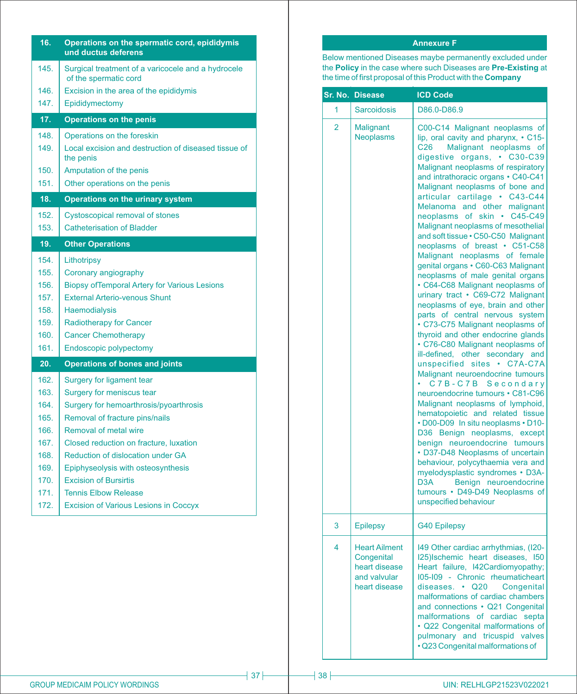| 16.  | Operations on the spermatic cord, epididymis<br>und ductus deferens         |  |  |
|------|-----------------------------------------------------------------------------|--|--|
| 145. | Surgical treatment of a varicocele and a hydrocele<br>of the spermatic cord |  |  |
| 146. | Excision in the area of the epididymis                                      |  |  |
| 147. | Epididymectomy                                                              |  |  |
| 17.  | <b>Operations on the penis</b>                                              |  |  |
| 148. | Operations on the foreskin                                                  |  |  |
| 149. | Local excision and destruction of diseased tissue of<br>the penis           |  |  |
| 150. | Amputation of the penis                                                     |  |  |
| 151. | Other operations on the penis                                               |  |  |
| 18.  | <b>Operations on the urinary system</b>                                     |  |  |
| 152. | <b>Cystoscopical removal of stones</b>                                      |  |  |
| 153. | <b>Catheterisation of Bladder</b>                                           |  |  |
| 19.  | <b>Other Operations</b>                                                     |  |  |
| 154. | Lithotripsy                                                                 |  |  |
| 155. | Coronary angiography                                                        |  |  |
| 156. | <b>Biopsy of Temporal Artery for Various Lesions</b>                        |  |  |
| 157. | <b>External Arterio-venous Shunt</b>                                        |  |  |
| 158. | <b>Haemodialysis</b>                                                        |  |  |
| 159. | <b>Radiotherapy for Cancer</b>                                              |  |  |
| 160. | <b>Cancer Chemotherapy</b>                                                  |  |  |
| 161. | <b>Endoscopic polypectomy</b>                                               |  |  |
| 20.  | <b>Operations of bones and joints</b>                                       |  |  |
| 162. | Surgery for ligament tear                                                   |  |  |
| 163. | Surgery for meniscus tear                                                   |  |  |
| 164. | Surgery for hemoarthrosis/pyoarthrosis                                      |  |  |
| 165. | Removal of fracture pins/nails                                              |  |  |
| 166. | <b>Removal of metal wire</b>                                                |  |  |
| 167. | Closed reduction on fracture, luxation                                      |  |  |
| 168. | <b>Reduction of dislocation under GA</b>                                    |  |  |
| 169. | Epiphyseolysis with osteosynthesis                                          |  |  |
| 170. | <b>Excision of Bursirtis</b>                                                |  |  |
| 171. | <b>Tennis Elbow Release</b>                                                 |  |  |
| 172. | <b>Excision of Various Lesions in Coccyx</b>                                |  |  |
|      |                                                                             |  |  |

# **Annexure F**

Below mentioned Diseases maybe permanently excluded under the **Policy** in the case where such Diseases are **Pre-Existing** at the time of first proposal of this Product with the **Company**

|                         | Sr. No. Disease                                                                      | <b>ICD Code</b>                                                                                                                                                                                                                                                                                                                                                                                                                                                                                                                                                                                                                                                                                                                                                                                                                                                                                                                                                                                                                                                                                                                                                                                                                                                                                                                                                                                                               |
|-------------------------|--------------------------------------------------------------------------------------|-------------------------------------------------------------------------------------------------------------------------------------------------------------------------------------------------------------------------------------------------------------------------------------------------------------------------------------------------------------------------------------------------------------------------------------------------------------------------------------------------------------------------------------------------------------------------------------------------------------------------------------------------------------------------------------------------------------------------------------------------------------------------------------------------------------------------------------------------------------------------------------------------------------------------------------------------------------------------------------------------------------------------------------------------------------------------------------------------------------------------------------------------------------------------------------------------------------------------------------------------------------------------------------------------------------------------------------------------------------------------------------------------------------------------------|
| 1                       | <b>Sarcoidosis</b>                                                                   | D86.0-D86.9                                                                                                                                                                                                                                                                                                                                                                                                                                                                                                                                                                                                                                                                                                                                                                                                                                                                                                                                                                                                                                                                                                                                                                                                                                                                                                                                                                                                                   |
| $\overline{2}$          | <b>Malignant</b><br><b>Neoplasms</b>                                                 | C00-C14 Malignant neoplasms of<br>lip, oral cavity and pharynx, • C15-<br>Malignant neoplasms of<br>C <sub>26</sub><br>digestive organs, • C30-C39<br>Malignant neoplasms of respiratory<br>and intrathoracic organs • C40-C41<br>Malignant neoplasms of bone and<br>articular cartilage • C43-C44<br>Melanoma and other malignant<br>neoplasms of skin • C45-C49<br>Malignant neoplasms of mesothelial<br>and soft tissue · C50-C50 Malignant<br>neoplasms of breast • C51-C58<br>Malignant neoplasms of female<br>genital organs • C60-C63 Malignant<br>neoplasms of male genital organs<br>• C64-C68 Malignant neoplasms of<br>urinary tract • C69-C72 Malignant<br>neoplasms of eye, brain and other<br>parts of central nervous system<br>• C73-C75 Malignant neoplasms of<br>thyroid and other endocrine glands<br>• C76-C80 Malignant neoplasms of<br>ill-defined, other secondary and<br>unspecified sites • C7A-C7A<br>Malignant neuroendocrine tumours<br>C7B-C7B Secondary<br>neuroendocrine tumours • C81-C96<br>Malignant neoplasms of lymphoid,<br>hematopoietic and related tissue<br>. D00-D09 In situ neoplasms . D10-<br>D36 Benign neoplasms, except<br>benign neuroendocrine tumours<br>• D37-D48 Neoplasms of uncertain<br>behaviour, polycythaemia vera and<br>myelodysplastic syndromes • D3A-<br>D <sub>3</sub> A<br>Benign neuroendocrine<br>tumours · D49-D49 Neoplasms of<br>unspecified behaviour |
| 3                       | <b>Epilepsy</b>                                                                      | <b>G40 Epilepsy</b>                                                                                                                                                                                                                                                                                                                                                                                                                                                                                                                                                                                                                                                                                                                                                                                                                                                                                                                                                                                                                                                                                                                                                                                                                                                                                                                                                                                                           |
| $\overline{\mathbf{4}}$ | <b>Heart Ailment</b><br>Congenital<br>heart disease<br>and valvular<br>heart disease | 149 Other cardiac arrhythmias, (120-<br>125) Ischemic heart diseases, 150<br>Heart failure, I42Cardiomyopathy;<br>105-109 - Chronic rheumaticheart<br>diseases. • Q20<br>Congenital<br>malformations of cardiac chambers<br>and connections • Q21 Congenital<br>malformations of cardiac septa<br>· Q22 Congenital malformations of<br>pulmonary and tricuspid valves<br>• Q23 Congenital malformations of                                                                                                                                                                                                                                                                                                                                                                                                                                                                                                                                                                                                                                                                                                                                                                                                                                                                                                                                                                                                                    |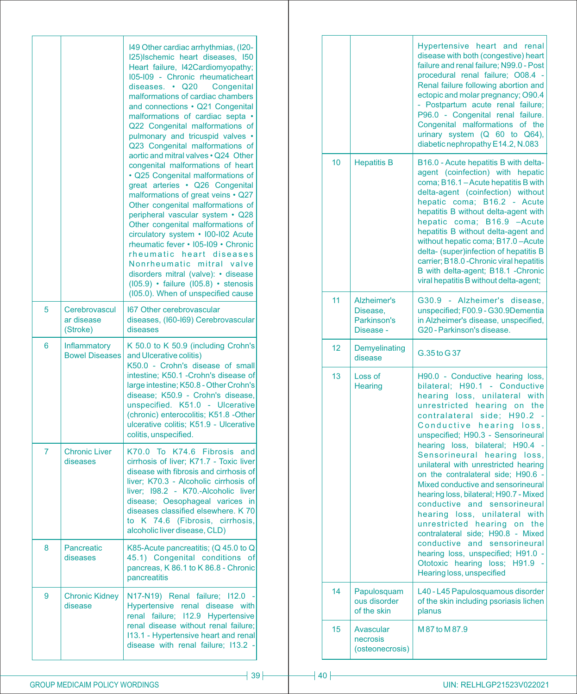|   |                                         | 149 Other cardiac arrhythmias, (120-<br>I25) Ischemic heart diseases, I50<br>Heart failure, I42Cardiomyopathy;<br>105-109 - Chronic rheumaticheart<br>diseases. • Q20 Congenital<br>malformations of cardiac chambers<br>and connections • Q21 Congenital<br>malformations of cardiac septa •<br>Q22 Congenital malformations of<br>pulmonary and tricuspid valves •<br>Q23 Congenital malformations of<br>aortic and mitral valves . Q24 Other<br>congenital malformations of heart<br>· Q25 Congenital malformations of<br>great arteries • Q26 Congenital<br>malformations of great veins • Q27<br>Other congenital malformations of<br>peripheral vascular system • Q28<br>Other congenital malformations of<br>circulatory system • 100-102 Acute<br>rheumatic fever • 105-109 • Chronic<br>rheumatic heart diseases<br>Nonrheumatic mitral valve<br>disorders mitral (valve): • disease<br>$(105.9)$ · failure $(105.8)$ · stenosis<br>(105.0). When of unspecified cause |
|---|-----------------------------------------|---------------------------------------------------------------------------------------------------------------------------------------------------------------------------------------------------------------------------------------------------------------------------------------------------------------------------------------------------------------------------------------------------------------------------------------------------------------------------------------------------------------------------------------------------------------------------------------------------------------------------------------------------------------------------------------------------------------------------------------------------------------------------------------------------------------------------------------------------------------------------------------------------------------------------------------------------------------------------------|
| 5 | Cerebrovascul<br>ar disease<br>(Stroke) | <b>167 Other cerebrovascular</b><br>diseases, (I60-I69) Cerebrovascular<br>diseases                                                                                                                                                                                                                                                                                                                                                                                                                                                                                                                                                                                                                                                                                                                                                                                                                                                                                             |
| 6 | Inflammatory<br><b>Bowel Diseases</b>   | K 50.0 to K 50.9 (including Crohn's<br>and Ulcerative colitis)<br>K50.0 - Crohn's disease of small<br>intestine; K50.1 - Crohn's disease of<br>large intestine; K50.8 - Other Crohn's<br>disease; K50.9 - Crohn's disease,<br>unspecified. K51.0 - Ulcerative<br>(chronic) enterocolitis; K51.8 -Other<br>ulcerative colitis; K51.9 - Ulcerative<br>colitis, unspecified.                                                                                                                                                                                                                                                                                                                                                                                                                                                                                                                                                                                                       |
| 7 | <b>Chronic Liver</b><br>diseases        | K74.6 Fibrosis and<br>K70.0 To<br>cirrhosis of liver; K71.7 - Toxic liver<br>disease with fibrosis and cirrhosis of<br>liver; K70.3 - Alcoholic cirrhosis of<br>liver; I98.2 - K70.-Alcoholic liver<br>disease; Oesophageal varices<br>in<br>diseases classified elsewhere. K 70<br>to K 74.6 (Fibrosis, cirrhosis,<br>alcoholic liver disease, CLD)                                                                                                                                                                                                                                                                                                                                                                                                                                                                                                                                                                                                                            |
| 8 | Pancreatic<br>diseases                  | K85-Acute pancreatitis; (Q 45.0 to Q<br>45.1) Congenital conditions of<br>pancreas, K 86.1 to K 86.8 - Chronic<br>pancreatitis                                                                                                                                                                                                                                                                                                                                                                                                                                                                                                                                                                                                                                                                                                                                                                                                                                                  |
| 9 | <b>Chronic Kidney</b><br>disease        | N17-N19) Renal failure; I12.0<br>Hypertensive renal disease with<br>renal failure; I12.9 Hypertensive<br>renal disease without renal failure;<br>113.1 - Hypertensive heart and renal<br>disease with renal failure; I13.2 -                                                                                                                                                                                                                                                                                                                                                                                                                                                                                                                                                                                                                                                                                                                                                    |

|    |                                                     | Hypertensive heart and renal<br>disease with both (congestive) heart<br>failure and renal failure; N99.0 - Post<br>procedural renal failure; O08.4 -<br>Renal failure following abortion and<br>ectopic and molar pregnancy; O90.4<br>- Postpartum acute renal failure;<br>P96.0 - Congenital renal failure.<br>Congenital malformations of the<br>urinary system (Q 60 to Q64),<br>diabetic nephropathy E14.2, N.083                                                                                                                                                                                                                                                                                                                          |
|----|-----------------------------------------------------|------------------------------------------------------------------------------------------------------------------------------------------------------------------------------------------------------------------------------------------------------------------------------------------------------------------------------------------------------------------------------------------------------------------------------------------------------------------------------------------------------------------------------------------------------------------------------------------------------------------------------------------------------------------------------------------------------------------------------------------------|
| 10 | <b>Hepatitis B</b>                                  | B16.0 - Acute hepatitis B with delta-<br>agent (coinfection) with hepatic<br>coma; B16.1 - Acute hepatitis B with<br>delta-agent (coinfection) without<br>hepatic coma; B16.2 - Acute<br>hepatitis B without delta-agent with<br>hepatic coma; B16.9 - Acute<br>hepatitis B without delta-agent and<br>without hepatic coma; B17.0-Acute<br>delta- (super)infection of hepatitis B<br>carrier; B18.0 - Chronic viral hepatitis<br>B with delta-agent; B18.1 - Chronic<br>viral hepatitis B without delta-agent;                                                                                                                                                                                                                                |
| 11 | Alzheimer's<br>Disease,<br>Parkinson's<br>Disease - | G30.9 - Alzheimer's disease,<br>unspecified; F00.9 - G30.9Dementia<br>in Alzheimer's disease, unspecified,<br>G20 - Parkinson's disease.                                                                                                                                                                                                                                                                                                                                                                                                                                                                                                                                                                                                       |
| 12 | Demyelinating<br>disease                            | G.35 to G37                                                                                                                                                                                                                                                                                                                                                                                                                                                                                                                                                                                                                                                                                                                                    |
| 13 | Loss of<br>Hearing                                  | H90.0 - Conductive hearing loss,<br>bilateral; H90.1 - Conductive<br>hearing loss, unilateral with<br>unrestricted hearing on the<br>contralateral side; H90.2 -<br>Conductive hearing loss,<br>unspecified; H90.3 - Sensorineural<br>hearing loss, bilateral; H90.4 -<br>Sensorineural hearing loss,<br>unilateral with unrestricted hearing<br>on the contralateral side; H90.6 -<br>Mixed conductive and sensorineural<br>hearing loss, bilateral; H90.7 - Mixed<br>conductive and sensorineural<br>hearing loss, unilateral with<br>unrestricted hearing on the<br>contralateral side; H90.8 - Mixed<br>conductive and sensorineural<br>hearing loss, unspecified; H91.0 -<br>Ototoxic hearing loss;<br>H91.9<br>Hearing loss, unspecified |
| 14 | Papulosquam<br>ous disorder<br>of the skin          | L40 - L45 Papulosquamous disorder<br>of the skin including psoriasis lichen<br>planus                                                                                                                                                                                                                                                                                                                                                                                                                                                                                                                                                                                                                                                          |
| 15 | Avascular<br>necrosis<br>(osteonecrosis)            | M 87 to M 87.9                                                                                                                                                                                                                                                                                                                                                                                                                                                                                                                                                                                                                                                                                                                                 |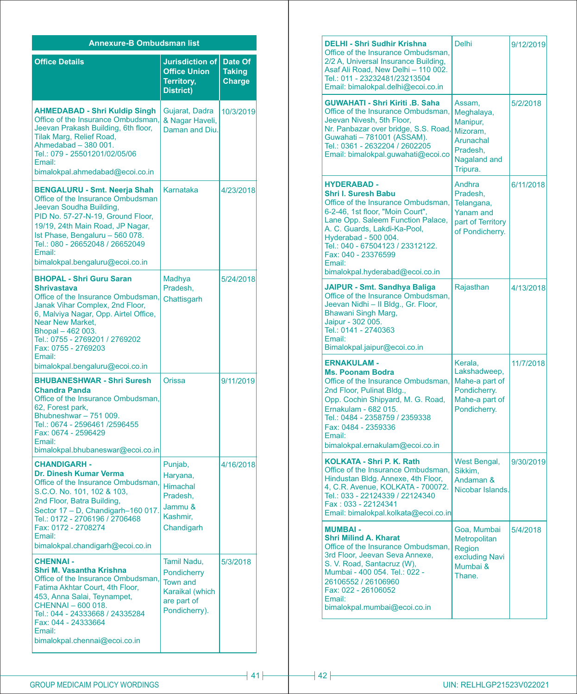| <b>Annexure-B Ombudsman list</b>                                                                                                                                                                                                                                                                                       |                                                                                                  |                                    |  |
|------------------------------------------------------------------------------------------------------------------------------------------------------------------------------------------------------------------------------------------------------------------------------------------------------------------------|--------------------------------------------------------------------------------------------------|------------------------------------|--|
| <b>Office Details</b>                                                                                                                                                                                                                                                                                                  | <b>Jurisdiction of</b><br><b>Office Union</b><br>Territory,<br>District)                         | Date Of<br><b>Taking</b><br>Charge |  |
| <b>AHMEDABAD - Shri Kuldip Singh</b><br>Office of the Insurance Ombudsman.<br>Jeevan Prakash Building, 6th floor,<br><b>Tilak Marg, Relief Road,</b><br>Ahmedabad - 380 001.<br>Tel.: 079 - 25501201/02/05/06<br>Email:<br>bimalokpal.ahmedabad@ecoi.co.in                                                             | Gujarat, Dadra<br>& Nagar Haveli,<br>Daman and Diu.                                              | 10/3/2019                          |  |
| <b>BENGALURU - Smt. Neerja Shah</b><br>Office of the Insurance Ombudsman<br>Jeevan Soudha Building,<br>PID No. 57-27-N-19, Ground Floor,<br>19/19, 24th Main Road, JP Nagar,<br>Ist Phase, Bengaluru - 560 078.<br>Tel.: 080 - 26652048 / 26652049<br>Email:<br>bimalokpal.bengaluru@ecoi.co.in                        | Karnataka                                                                                        | 4/23/2018                          |  |
| <b>BHOPAL - Shri Guru Saran</b><br><b>Shrivastava</b><br>Office of the Insurance Ombudsman,<br>Janak Vihar Complex, 2nd Floor,<br>6, Malviya Nagar, Opp. Airtel Office,<br>Near New Market,<br>Bhopal - 462 003.<br>Tel.: 0755 - 2769201 / 2769202<br>Fax: 0755 - 2769203<br>Email:<br>bimalokpal.bengaluru@ecoi.co.in | Madhya<br>Pradesh,<br>Chattisgarh                                                                | 5/24/2018                          |  |
| <b>BHUBANESHWAR - Shri Suresh</b><br><b>Chandra Panda</b><br>Office of the Insurance Ombudsman,<br>62, Forest park,<br>Bhubneshwar - 751 009.<br>Tel.: 0674 - 2596461 /2596455<br>Fax: 0674 - 2596429<br>Email:<br>bimalokpal.bhubaneswar@ecoi.co.in                                                                   | Orissa                                                                                           | 9/11/2019                          |  |
| <b>CHANDIGARH -</b><br><b>Dr. Dinesh Kumar Verma</b><br>Office of the Insurance Ombudsman,<br>S.C.O. No. 101, 102 & 103,<br>2nd Floor, Batra Building,<br>Sector 17 - D, Chandigarh-160 017.<br>Tel.: 0172 - 2706196 / 2706468<br>Fax: 0172 - 2708274<br>Email:<br>bimalokpal.chandigarh@ecoi.co.in                    | Punjab,<br>Haryana,<br><b>Himachal</b><br>Pradesh,<br>Jammu &<br>Kashmir,<br>Chandigarh          | 4/16/2018                          |  |
| <b>CHENNAI -</b><br><b>Shri M. Vasantha Krishna</b><br>Office of the Insurance Ombudsman,<br>Fatima Akhtar Court, 4th Floor,<br>453, Anna Salai, Teynampet,<br>CHENNAI - 600 018.<br>Tel.: 044 - 24333668 / 24335284<br>Fax: 044 - 24333664<br>Email:<br>bimalokpal.chennai@ecoi.co.in                                 | Tamil Nadu,<br>Pondicherry<br><b>Town and</b><br>Karaikal (which<br>are part of<br>Pondicherry). | 5/3/2018                           |  |

| <b>DELHI - Shri Sudhir Krishna</b><br>Office of the Insurance Ombudsman,<br>2/2 A, Universal Insurance Building,<br>Asaf Ali Road, New Delhi - 110 002.<br>Tel.: 011 - 23232481/23213504<br>Email: bimalokpal.delhi@ecoi.co.in                                                                                                  | <b>Delhi</b>                                                                                      | 9/12/2019 |
|---------------------------------------------------------------------------------------------------------------------------------------------------------------------------------------------------------------------------------------------------------------------------------------------------------------------------------|---------------------------------------------------------------------------------------------------|-----------|
| <b>GUWAHATI - Shri Kiriti .B. Saha</b><br>Office of the Insurance Ombudsman,<br>Jeevan Nivesh, 5th Floor,<br>Nr. Panbazar over bridge, S.S. Road,<br>Guwahati - 781001 (ASSAM).<br>Tel.: 0361 - 2632204 / 2602205<br>Email: bimalokpal.guwahati@ecoi.co                                                                         | Assam,<br>Meghalaya,<br>Manipur,<br>Mizoram,<br>Arunachal<br>Pradesh,<br>Nagaland and<br>Tripura. | 5/2/2018  |
| <b>HYDERABAD -</b><br><b>Shri I. Suresh Babu</b><br>Office of the Insurance Ombudsman,<br>6-2-46, 1st floor, "Moin Court",<br>Lane Opp. Saleem Function Palace,<br>A. C. Guards, Lakdi-Ka-Pool,<br>Hyderabad - 500 004.<br>Tel.: 040 - 67504123 / 23312122.<br>Fax: 040 - 23376599<br>Email:<br>bimalokpal.hyderabad@ecoi.co.in | Andhra<br>Pradesh,<br>Telangana,<br>Yanam and<br>part of Territory<br>of Pondicherry.             | 6/11/2018 |
| JAIPUR - Smt. Sandhya Baliga<br>Office of the Insurance Ombudsman,<br>Jeevan Nidhi - Il Bldg., Gr. Floor,<br>Bhawani Singh Marg,<br>Jaipur - 302 005.<br>Tel.: 0141 - 2740363<br>Email:<br>Bimalokpal.jaipur@ecoi.co.in                                                                                                         | Rajasthan                                                                                         | 4/13/2018 |
| <b>ERNAKULAM-</b><br><b>Ms. Poonam Bodra</b><br>Office of the Insurance Ombudsman,<br>2nd Floor, Pulinat Bldg.,<br>Opp. Cochin Shipyard, M. G. Road,<br>Ernakulam - 682 015.<br>Tel.: 0484 - 2358759 / 2359338<br>Fax: 0484 - 2359336<br>Email:<br>bimalokpal.ernakulam@ecoi.co.in                                              | Kerala,<br>Lakshadweep,<br>Mahe-a part of<br>Pondicherry.<br>Mahe-a part of<br>Pondicherry.       | 11/7/2018 |
| KOLKATA - Shri P. K. Rath<br>Office of the Insurance Ombudsman,<br>Hindustan Bldg. Annexe, 4th Floor,<br>4, C.R. Avenue, KOLKATA - 700072.<br>Tel.: 033 - 22124339 / 22124340<br>Fax: 033 - 22124341<br>Email: bimalokpal.kolkata@ecoi.co.in                                                                                    | West Bengal,<br>Sikkim,<br>Andaman &<br>Nicobar Islands.                                          | 9/30/2019 |
| <b>MUMBAI -</b><br><b>Shri Milind A. Kharat</b><br>Office of the Insurance Ombudsman,<br>3rd Floor, Jeevan Seva Annexe,<br>S. V. Road, Santacruz (W),<br>Mumbai - 400 054. Tel.: 022 -<br>26106552 / 26106960<br>Fax: 022 - 26106052<br>Email:<br>bimalokpal.mumbai@ecoi.co.in                                                  | Goa, Mumbai<br>Metropolitan<br>Region<br>excluding Navi<br>Mumbai &<br>Thane.                     | 5/4/2018  |